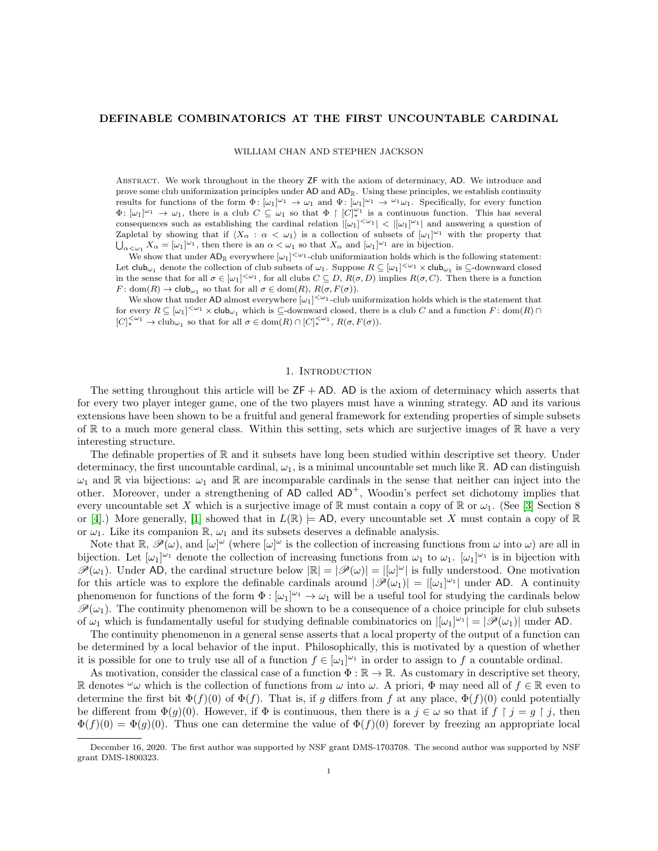## DEFINABLE COMBINATORICS AT THE FIRST UNCOUNTABLE CARDINAL

WILLIAM CHAN AND STEPHEN JACKSON

Abstract. We work throughout in the theory ZF with the axiom of determinacy, AD. We introduce and prove some club uniformization principles under  $AD$  and  $AD_{\mathbb{R}}$ . Using these principles, we establish continuity results for functions of the form  $\Phi: [\omega_1]^{\omega_1} \to \omega_1$  and  $\Psi: [\omega_1]^{\omega_1} \to {\omega_1 \omega_1}$ . Specifically, for every function  $\Phi: [\omega_1]^{\omega_1} \to \omega_1$ , there is a club  $C \subseteq \omega_1$  so that  $\Phi \upharpoonright [C]_{*}^{\omega_1}$  is a continuous function. This has several consequences such as establishing the cardinal relation  $|[\omega_1]^{<\omega_1}| < |[\omega_1]^{\omega_1}|$  and answering a question of Zapletal by showing that if  $\langle X_\alpha : \alpha < \omega_1 \rangle$  is a collection of subsets of  $[\omega_1]^{\omega_1}$  with the property that  $\bigcup_{\alpha<\omega_1}X_\alpha=[\omega_1]^{\omega_1}$ , then there is an  $\alpha<\omega_1$  so that  $X_\alpha$  and  $[\omega_1]^{\omega_1}$  are in bijection.

We show that under  $AD_{\mathbb{R}}$  everywhere  $[\omega_1]^{<\omega_1}$ -club uniformization holds which is the following statement: Let  $\textsf{club}_{\omega_1}$  denote the collection of club subsets of  $\omega_1$ . Suppose  $R \subseteq [\omega_1]^{<\omega_1} \times \textsf{club}_{\omega_1}$  is  $\subseteq$ -downward closed in the sense that for all  $\sigma \in [\omega_1]^{<\omega_1}$ , for all clubs  $C \subseteq D$ ,  $R(\sigma, D)$  implies  $R(\sigma, C)$ . Then there is a function  $F: dom(R) \to club_{\omega_1}$  so that for all  $\sigma \in dom(R), R(\sigma, F(\sigma))$ .

We show that under AD almost everywhere  $[\omega_1]^{<\omega_1}$ -club uniformization holds which is the statement that for every  $R \subseteq [\omega_1]^{<\omega_1} \times \text{club}_{\omega_1}$  which is  $\subseteq$ -downward closed, there is a club C and a function  $F: \text{dom}(R) \cap$  $[C]_{*}^{<\omega_1} \to \text{club}_{\omega_1}$  so that for all  $\sigma \in \text{dom}(R) \cap [C]_{*}^{<\omega_1}$ ,  $R(\sigma, F(\sigma))$ .

### 1. INTRODUCTION

The setting throughout this article will be  $ZF + AD$ . AD is the axiom of determinacy which asserts that for every two player integer game, one of the two players must have a winning strategy. AD and its various extensions have been shown to be a fruitful and general framework for extending properties of simple subsets of  $\mathbb R$  to a much more general class. Within this setting, sets which are surjective images of  $\mathbb R$  have a very interesting structure.

The definable properties of  $\mathbb R$  and it subsets have long been studied within descriptive set theory. Under determinacy, the first uncountable cardinal,  $\omega_1$ , is a minimal uncountable set much like R. AD can distinguish  $\omega_1$  and R via bijections:  $\omega_1$  and R are incomparable cardinals in the sense that neither can inject into the other. Moreover, under a strengthening of AD called  $AD^+$ , Woodin's perfect set dichotomy implies that every uncountable set X which is a surjective image of R must contain a copy of R or  $\omega_1$ . (See [\[3\]](#page-15-0) Section 8 or [\[4\]](#page-15-1).) More generally, [\[1\]](#page-15-2) showed that in  $L(\mathbb{R}) \models$  AD, every uncountable set X must contain a copy of  $\mathbb{R}$ or  $\omega_1$ . Like its companion R,  $\omega_1$  and its subsets deserves a definable analysis.

Note that  $\mathbb{R}, \mathscr{P}(\omega)$ , and  $[\omega]^{\omega}$  (where  $[\omega]^{\omega}$  is the collection of increasing functions from  $\omega$  into  $\omega$ ) are all in bijection. Let  $[\omega_1]^{\omega_1}$  denote the collection of increasing functions from  $\omega_1$  to  $\omega_1$ .  $[\omega_1]^{\omega_1}$  is in bijection with  $\mathscr{P}(\omega_1)$ . Under AD, the cardinal structure below  $|\mathbb{R}| = |\mathscr{P}(\omega)| = |[\omega]^{\omega}|$  is fully understood. One motivation for this article was to explore the definable cardinals around  $|\mathscr{P}(\omega_1)| = |[\omega_1]^{\omega_1}|$  under AD. A continuity phenomenon for functions of the form  $\Phi : [\omega_1]^{\omega_1} \to \omega_1$  will be a useful tool for studying the cardinals below  $\mathcal{P}(\omega_1)$ . The continuity phenomenon will be shown to be a consequence of a choice principle for club subsets of  $\omega_1$  which is fundamentally useful for studying definable combinatorics on  $|[\omega_1]^{\omega_1}| = |\mathscr{P}(\omega_1)|$  under AD.

The continuity phenomenon in a general sense asserts that a local property of the output of a function can be determined by a local behavior of the input. Philosophically, this is motivated by a question of whether it is possible for one to truly use all of a function  $f \in [\omega_1]^{\omega_1}$  in order to assign to f a countable ordinal.

As motivation, consider the classical case of a function  $\Phi : \mathbb{R} \to \mathbb{R}$ . As customary in descriptive set theory, R denotes  $\omega_{\omega}$  which is the collection of functions from  $\omega$  into  $\omega$ . A priori,  $\Phi$  may need all of  $f \in \mathbb{R}$  even to determine the first bit  $\Phi(f)(0)$  of  $\Phi(f)$ . That is, if g differs from f at any place,  $\Phi(f)(0)$  could potentially be different from  $\Phi(q)(0)$ . However, if  $\Phi$  is continuous, then there is a  $j \in \omega$  so that if  $f \restriction j = q \restriction j$ , then  $\Phi(f)(0) = \Phi(g)(0)$ . Thus one can determine the value of  $\Phi(f)(0)$  forever by freezing an appropriate local

December 16, 2020. The first author was supported by NSF grant DMS-1703708. The second author was supported by NSF grant DMS-1800323.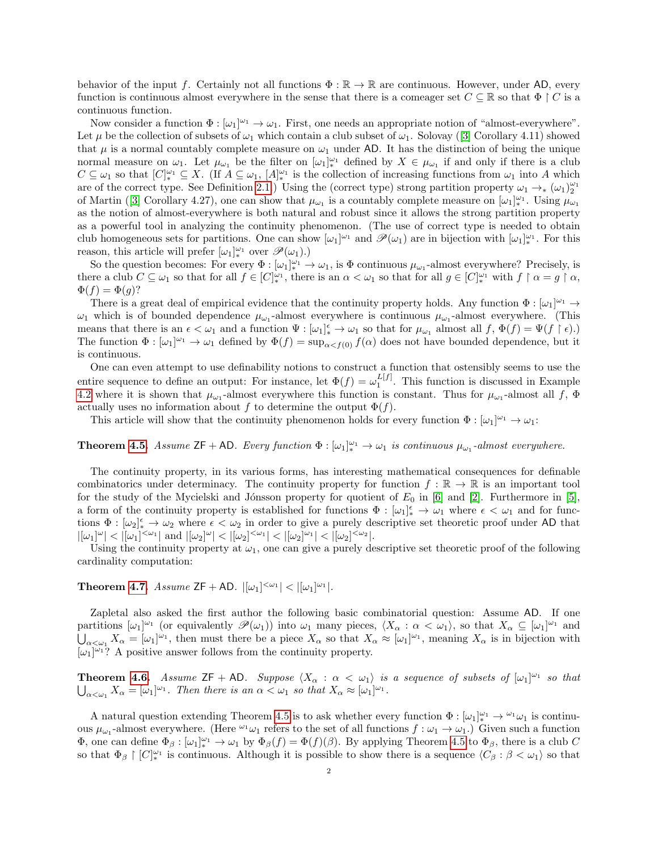behavior of the input f. Certainly not all functions  $\Phi : \mathbb{R} \to \mathbb{R}$  are continuous. However, under AD, every function is continuous almost everywhere in the sense that there is a comeager set  $C \subseteq \mathbb{R}$  so that  $\Phi \upharpoonright C$  is a continuous function.

Now consider a function  $\Phi : [\omega_1]^{\omega_1} \to \omega_1$ . First, one needs an appropriate notion of "almost-everywhere". Let $\mu$  be the collection of subsets of  $\omega_1$  which contain a club subset of  $\omega_1$ . Solovay ([\[3\]](#page-15-0) Corollary 4.11) showed that  $\mu$  is a normal countably complete measure on  $\omega_1$  under AD. It has the distinction of being the unique normal measure on  $\omega_1$ . Let  $\mu_{\omega_1}$  be the filter on  $[\omega_1]_{*}^{\omega_1}$  defined by  $X \in \mu_{\omega_1}$  if and only if there is a club  $C \subseteq \omega_1$  so that  $[C]^{\omega_1}_{*} \subseteq X$ . (If  $A \subseteq \omega_1$ ,  $[A]^{\omega_1}_{*}$  is the collection of increasing functions from  $\omega_1$  into A which are of the correct type. See Definition [2.1.](#page-3-0)) Using the (correct type) strong partition property  $\omega_1 \to_{*} (\omega_1)_2^{\omega_1}$ ofMartin ([\[3\]](#page-15-0) Corollary 4.27), one can show that  $\mu_{\omega_1}$  is a countably complete measure on  $[\omega_1]_*^{\omega_1}$ . Using  $\mu_{\omega_1}$ as the notion of almost-everywhere is both natural and robust since it allows the strong partition property as a powerful tool in analyzing the continuity phenomenon. (The use of correct type is needed to obtain club homogeneous sets for partitions. One can show  $[\omega_1]^{\omega_1}$  and  $\mathscr{P}(\omega_1)$  are in bijection with  $[\omega_1]_{*}^{\omega_1}$ . For this reason, this article will prefer  $[\omega_1]_*^{\omega_1}$  over  $\mathscr{P}(\omega_1)$ .)

So the question becomes: For every  $\Phi : [\omega_1]_*^{\omega_1} \to \omega_1$ , is  $\Phi$  continuous  $\mu_{\omega_1}$ -almost everywhere? Precisely, is there a club  $C \subseteq \omega_1$  so that for all  $f \in [C]_{*}^{\omega_1}$ , there is an  $\alpha < \omega_1$  so that for all  $g \in [C]_{*}^{\omega_1}$  with  $f \upharpoonright \alpha = g \upharpoonright \alpha$ ,  $\Phi(f) = \Phi(g)?$ 

There is a great deal of empirical evidence that the continuity property holds. Any function  $\Phi : [\omega_1]^{\omega_1} \to$  $\omega_1$  which is of bounded dependence  $\mu_{\omega_1}$ -almost everywhere is continuous  $\mu_{\omega_1}$ -almost everywhere. (This means that there is an  $\epsilon < \omega_1$  and a function  $\Psi : [\omega_1]_{*}^{\epsilon} \to \omega_1$  so that for  $\mu_{\omega_1}$  almost all  $f, \Phi(f) = \Psi(f \restriction \epsilon)$ . The function  $\Phi : [\omega_1]^{\omega_1} \to \omega_1$  defined by  $\Phi(f) = \sup_{\alpha < f(0)} f(\alpha)$  does not have bounded dependence, but it is continuous.

One can even attempt to use definability notions to construct a function that ostensibly seems to use the entire sequence to define an output: For instance, let  $\Phi(f) = \omega_1^{L[f]}$ . This function is discussed in Example [4.2](#page-9-0) where it is shown that  $\mu_{\omega_1}$ -almost everywhere this function is constant. Thus for  $\mu_{\omega_1}$ -almost all f,  $\Phi$ actually uses no information about f to determine the output  $\Phi(f)$ .

This article will show that the continuity phenomenon holds for every function  $\Phi : [\omega_1]^{\omega_1} \to \omega_1$ :

**Theorem [4.5.](#page-11-0)** Assume  $ZF + AD$ . Every function  $\Phi : [\omega_1]_{*}^{\omega_1} \to \omega_1$  is continuous  $\mu_{\omega_1}$ -almost everywhere.

The continuity property, in its various forms, has interesting mathematical consequences for definable combinatorics under determinacy. The continuity property for function  $f : \mathbb{R} \to \mathbb{R}$  is an important tool for the study of the Mycielski and Jónsson property for quotient of  $E_0$  in [\[6\]](#page-15-3) and [\[2\]](#page-15-4). Furthermore in [\[5\]](#page-15-5), a form of the continuity property is established for functions  $\Phi : [\omega_1]^{\epsilon}_{*} \to \omega_1$  where  $\epsilon < \omega_1$  and for functions  $\Phi : [\omega_2]^{\epsilon} \to \omega_2$  where  $\epsilon < \omega_2$  in order to give a purely descriptive set theoretic proof under AD that  $|[\omega_1]^{\omega}| < |[\omega_1]^{<\omega_1}|$  and  $|[\omega_2]^{\omega}| < |[\omega_2]^{<\omega_1}| < |[\omega_2]^{\omega_1}| < |[\omega_2]^{<\omega_2}|$ .

Using the continuity property at  $\omega_1$ , one can give a purely descriptive set theoretic proof of the following cardinality computation:

**Theorem [4.7.](#page-12-0)** Assume  $ZF + AD$ .  $|[\omega_1]^{<\omega_1}| < |[\omega_1]^{\omega_1}|$ .

Zapletal also asked the first author the following basic combinatorial question: Assume AD. If one partitions  $[\omega_1]^{\omega_1}$  (or equivalently  $\mathscr{P}(\omega_1)$ ) into  $\omega_1$  many pieces,  $\langle X_\alpha : \alpha < \omega_1 \rangle$ , so that  $X_\alpha \subseteq [\omega_1]^{\omega_1}$  and  $\bigcup_{\alpha<\omega_1}X_\alpha=[\omega_1]^{\omega_1}$ , then must there be a piece  $X_\alpha$  so that  $X_\alpha\approx[\omega_1]^{\omega_1}$ , meaning  $X_\alpha$  is in bijection with  $[\omega_1]^{\omega_1}$ ? A positive answer follows from the continuity property.

**Theorem [4.6.](#page-12-1)** Assume  $ZF + AD$ . Suppose  $\langle X_\alpha : \alpha < \omega_1 \rangle$  is a sequence of subsets of  $[\omega_1]^{\omega_1}$  so that  $\bigcup_{\alpha<\omega_1}X_{\alpha}=[\omega_1]^{\omega_1}$ . Then there is an  $\alpha<\omega_1$  so that  $X_{\alpha}\approx[\omega_1]^{\omega_1}$ .

A natural question extending Theorem [4.5](#page-11-0) is to ask whether every function  $\Phi : [\omega_1]_*^{\omega_1} \to {}^{\omega_1} \omega_1$  is continuous  $\mu_{\omega_1}$ -almost everywhere. (Here  $\omega_1$  refers to the set of all functions  $f : \omega_1 \to \omega_1$ .) Given such a function  $\Phi$ , one can define  $\Phi_{\beta}: [\omega_1]_{*}^{\omega_1} \to \omega_1$  by  $\Phi_{\beta}(f) = \Phi(f)(\beta)$ . By applying Theorem [4.5](#page-11-0) to  $\Phi_{\beta}$ , there is a club C so that  $\Phi_{\beta} \restriction [C]_{*}^{\omega_1}$  is continuous. Although it is possible to show there is a sequence  $\langle C_{\beta} : \beta < \omega_1 \rangle$  so that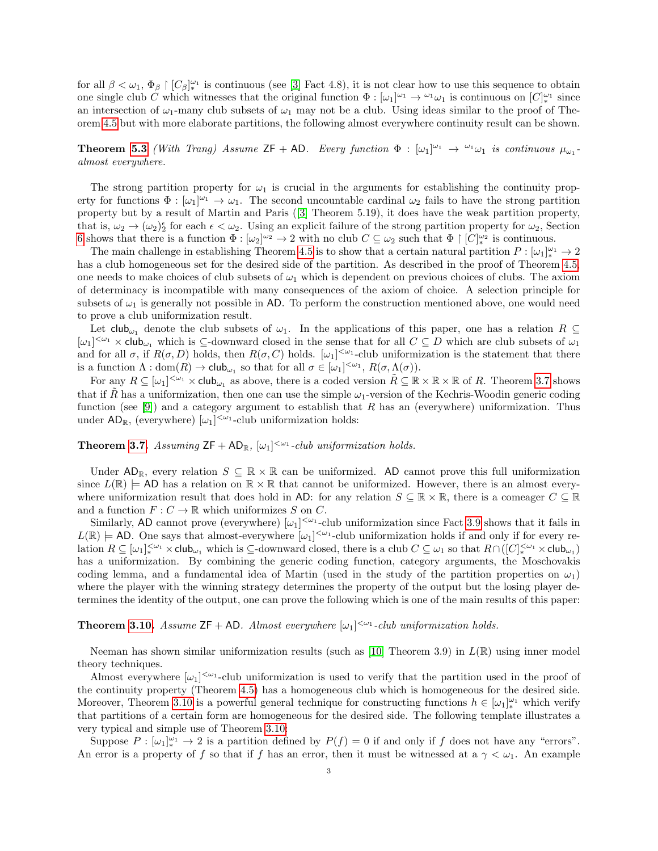for all  $\beta < \omega_1, \Phi_\beta \restriction [C_\beta]_{*}^{\omega_1}$  is continuous (see [\[3\]](#page-15-0) Fact 4.8), it is not clear how to use this sequence to obtain one single club C which witnesses that the original function  $\Phi : [\omega_1]^{\omega_1} \to {}^{\omega_1}\omega_1$  is continuous on  $[C]_*^{\omega_1}$  since an intersection of  $\omega_1$ -many club subsets of  $\omega_1$  may not be a club. Using ideas similar to the proof of Theorem [4.5](#page-11-0) but with more elaborate partitions, the following almost everywhere continuity result can be shown.

**Theorem [5.3](#page-13-0)** (With Trang) Assume  $ZF + AD$ . Every function  $\Phi : [\omega_1]^{\omega_1} \to {}^{\omega_1} \omega_1$  is continuous  $\mu_{\omega_1}$ . almost everywhere.

The strong partition property for  $\omega_1$  is crucial in the arguments for establishing the continuity property for functions  $\Phi : [\omega_1]^{\omega_1} \to \omega_1$ . The second uncountable cardinal  $\omega_2$  fails to have the strong partition property but by a result of Martin and Paris([\[3\]](#page-15-0) Theorem 5.19), it does have the weak partition property, that is,  $\omega_2 \to (\omega_2)^{\epsilon}$  for each  $\epsilon < \omega_2$ . Using an explicit failure of the strong partition property for  $\omega_2$ , Section [6](#page-14-0) shows that there is a function  $\Phi : [\omega_2]^{\omega_2} \to 2$  with no club  $C \subseteq \omega_2$  such that  $\Phi \upharpoonright [C]_{*}^{\omega_2}$  is continuous.

The main challenge in establishing Theorem [4.5](#page-11-0) is to show that a certain natural partition  $P: [\omega_1]_*^{\omega_1} \to 2$ has a club homogeneous set for the desired side of the partition. As described in the proof of Theorem [4.5,](#page-11-0) one needs to make choices of club subsets of  $\omega_1$  which is dependent on previous choices of clubs. The axiom of determinacy is incompatible with many consequences of the axiom of choice. A selection principle for subsets of  $\omega_1$  is generally not possible in AD. To perform the construction mentioned above, one would need to prove a club uniformization result.

Let  $\mathsf{club}_{\omega_1}$  denote the club subsets of  $\omega_1$ . In the applications of this paper, one has a relation  $R \subseteq$  $[\omega_1]^{<\omega_1}\times$  club<sub> $\omega_1$ </sub> which is  $\subseteq$ -downward closed in the sense that for all  $C\subseteq D$  which are club subsets of  $\omega_1$ and for all  $\sigma$ , if  $R(\sigma, D)$  holds, then  $R(\sigma, C)$  holds.  $[\omega_1]^{<\omega_1}$ -club uniformization is the statement that there is a function  $\Lambda: dom(R) \to \text{club}_{\omega_1}$  so that for all  $\sigma \in [\omega_1]^{<\omega_1}$ ,  $R(\sigma, \Lambda(\sigma))$ .

For any  $R \subseteq [\omega_1]^{<\omega_1} \times \text{club}_{\omega_1}$  as above, there is a coded version  $\tilde{R} \subseteq \mathbb{R} \times \mathbb{R} \times \mathbb{R}$  of R. Theorem [3.7](#page-6-0) shows that if R has a uniformization, then one can use the simple  $\omega_1$ -version of the Kechris-Woodin generic coding function (see [\[9\]](#page-15-6)) and a category argument to establish that R has an (everywhere) uniformization. Thus under  $AD_{\mathbb{R}}$ , (everywhere)  $[\omega_1]^{<\omega_1}$ -club uniformization holds:

**Theorem [3.7.](#page-6-0)** Assuming  $ZF + AD_{\mathbb{R}}$ ,  $[\omega_1]^{<\omega_1}$ -club uniformization holds.

Under  $AD_{\mathbb{R}}$ , every relation  $S \subseteq \mathbb{R} \times \mathbb{R}$  can be uniformized. AD cannot prove this full uniformization since  $L(\mathbb{R}) \models \text{AD}$  has a relation on  $\mathbb{R} \times \mathbb{R}$  that cannot be uniformized. However, there is an almost everywhere uniformization result that does hold in AD: for any relation  $S \subseteq \mathbb{R} \times \mathbb{R}$ , there is a comeager  $C \subseteq \mathbb{R}$ and a function  $F: C \to \mathbb{R}$  which uniformizes S on C.

Similarly, AD cannot prove (everywhere)  $[\omega_1]^{<\omega_1}$ -club uniformization since Fact [3.9](#page-7-0) shows that it fails in  $L(\mathbb{R}) \models$  AD. One says that almost-everywhere  $[\omega_1]^{<\omega_1}$ -club uniformization holds if and only if for every relation  $R \subseteq [\omega_1]_*^{\langle \omega_1 \times \mathsf{club}_{\omega_1} \rangle}$  which is  $\subseteq$ -downward closed, there is a club  $C \subseteq \omega_1$  so that  $R \cap ([C]_*^{\langle \omega_1 \rangle} \times \mathsf{club}_{\omega_1})$ has a uniformization. By combining the generic coding function, category arguments, the Moschovakis coding lemma, and a fundamental idea of Martin (used in the study of the partition properties on  $\omega_1$ ) where the player with the winning strategy determines the property of the output but the losing player determines the identity of the output, one can prove the following which is one of the main results of this paper:

## **Theorem [3.10.](#page-8-0)** Assume  $ZF + AD$ . Almost everywhere  $[\omega_1]^{<\omega_1}$ -club uniformization holds.

Neeman has shown similar uniformization results (such as [\[10\]](#page-15-7) Theorem 3.9) in  $L(\mathbb{R})$  using inner model theory techniques.

Almost everywhere  $[\omega_1]^{<\omega_1}$ -club uniformization is used to verify that the partition used in the proof of the continuity property (Theorem [4.5\)](#page-11-0) has a homogeneous club which is homogeneous for the desired side. Moreover, Theorem [3.10](#page-8-0) is a powerful general technique for constructing functions  $h \in [\omega_1]_*^{\omega_1}$  which verify that partitions of a certain form are homogeneous for the desired side. The following template illustrates a very typical and simple use of Theorem [3.10:](#page-8-0)

Suppose  $P : [\omega_1]_*^{\omega_1} \to 2$  is a partition defined by  $P(f) = 0$  if and only if f does not have any "errors". An error is a property of f so that if f has an error, then it must be witnessed at a  $\gamma < \omega_1$ . An example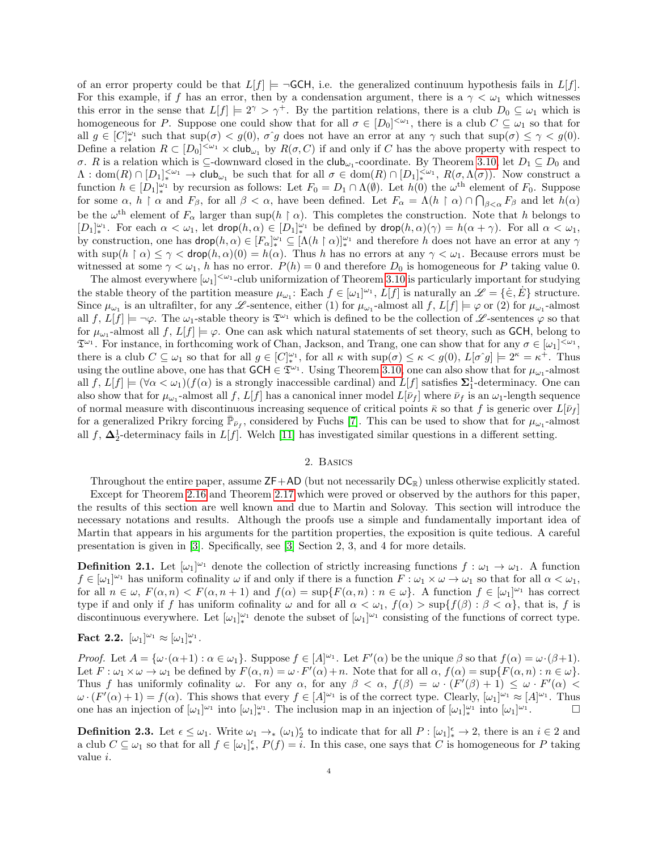of an error property could be that  $L[f] \models \neg \mathsf{GCH}$ , i.e. the generalized continuum hypothesis fails in  $L[f]$ . For this example, if f has an error, then by a condensation argument, there is a  $\gamma < \omega_1$  which witnesses this error in the sense that  $L[f] \models 2^{\gamma} > \gamma^+$ . By the partition relations, there is a club  $D_0 \subseteq \omega_1$  which is homogeneous for P. Suppose one could show that for all  $\sigma \in [D_0]^{<\omega_1}$ , there is a club  $C \subseteq \omega_1$  so that for all  $g \in [C]_*^{\omega_1}$  such that  $\sup(\sigma) < g(0)$ ,  $\sigma \hat{g}$  does not have an error at any  $\gamma$  such that  $\sup(\sigma) \leq \gamma < g(0)$ . Define a relation  $R \subset [D_0]^{<\omega_1} \times \mathsf{club}_{\omega_1}$  by  $R(\sigma, C)$  if and only if C has the above property with respect to σ. R is a relation which is  $\subseteq$ -downward closed in the club<sub>ω1</sub>-coordinate. By Theorem [3.10,](#page-8-0) let  $D_1 \subseteq D_0$  and  $\Lambda: \text{dom}(R) \cap [D_1]_{\ast}^{\langle \omega_1} \to \text{club}_{\omega_1}$  be such that for all  $\sigma \in \text{dom}(R) \cap [D_1]_{\ast}^{\langle \omega_1}$ ,  $R(\sigma, \Lambda(\sigma))$ . Now construct a function  $h \in [D_1]_{\ast}^{\omega_1}$  by recursion as follows: Let  $F_0 = D_1 \cap \Lambda(\emptyset)$ . Let  $h(0)$  the  $\omega^{\text{th}}$  element of  $F_0$ . Suppose for some  $\alpha$ ,  $h \restriction \alpha$  and  $F_{\beta}$ , for all  $\beta < \alpha$ , have been defined. Let  $F_{\alpha} = \Lambda(h \restriction \alpha) \cap \bigcap_{\beta < \alpha} F_{\beta}$  and let  $h(\alpha)$ be the  $\omega^{\text{th}}$  element of  $F_{\alpha}$  larger than sup(h |  $\alpha$ ). This completes the construction. Note that h belongs to  $[D_1]_*^{\omega_1}$ . For each  $\alpha < \omega_1$ , let  $\mathsf{drop}(h, \alpha) \in [D_1]_*^{\omega_1}$  be defined by  $\mathsf{drop}(h, \alpha)(\gamma) = h(\alpha + \gamma)$ . For all  $\alpha < \omega_1$ , by construction, one has  $\textsf{drop}(h, \alpha) \in [F_\alpha]_*^{\omega_1} \subseteq [\Lambda(h \restriction \alpha)]_*^{\omega_1}$  and therefore h does not have an error at any  $\gamma$ with  $\sup(h \restriction \alpha) \leq \gamma < \text{drop}(h, \alpha)(0) = h(\alpha)$ . Thus h has no errors at any  $\gamma < \omega_1$ . Because errors must be witnessed at some  $\gamma < \omega_1$ , h has no error.  $P(h) = 0$  and therefore  $D_0$  is homogeneous for P taking value 0.

The almost everywhere  $[\omega_1]^{<\omega_1}$ -club uniformization of Theorem [3.10](#page-8-0) is particularly important for studying the stable theory of the partition measure  $\mu_{\omega_1}$ : Each  $f \in [\omega_1]^{\omega_1}$ ,  $L[f]$  is naturally an  $\mathscr{L} = {\{\dot{\in}, \dot{E}\}}$  structure. Since  $\mu_{\omega_1}$  is an ultrafilter, for any  $\mathscr{L}$ -sentence, either (1) for  $\mu_{\omega_1}$ -almost all  $f, L[f] \models \varphi$  or (2) for  $\mu_{\omega_1}$ -almost all  $f, L[f] \models \neg \varphi$ . The  $\omega_1$ -stable theory is  $\mathfrak{T}^{\omega_1}$  which is defined to be the collection of  $\mathscr{L}$ -sentences  $\varphi$  so that for  $\mu_{\omega_1}$ -almost all  $f, L[f] \models \varphi$ . One can ask which natural statements of set theory, such as GCH, belong to  $\mathfrak{T}^{\omega_1}$ . For instance, in forthcoming work of Chan, Jackson, and Trang, one can show that for any  $\sigma \in [\omega_1]^{<\omega_1}$ , there is a club  $C \subseteq \omega_1$  so that for all  $g \in [C]_{*}^{\omega_1}$ , for all  $\kappa$  with  $\sup(\sigma) \leq \kappa < g(0)$ ,  $L[\sigma \hat{g}] \models 2^{\kappa} = \kappa^+$ . Thus using the outline above, one has that  $GCH \in \mathfrak{T}^{\omega_1}$ . Using Theorem [3.10,](#page-8-0) one can also show that for  $\mu_{\omega_1}$ -almost all  $f, L[f] \models (\forall \alpha < \omega_1)(f(\alpha)$  is a strongly inaccessible cardinal) and  $L[f]$  satisfies  $\Sigma_1^1$ -determinacy. One can also show that for  $\mu_{\omega_1}$ -almost all f,  $L[f]$  has a canonical inner model  $L[\bar{\nu}_f]$  where  $\bar{\nu}_f$  is an  $\omega_1$ -length sequence of normal measure with discontinuous increasing sequence of critical points  $\bar{\kappa}$  so that f is generic over  $L[\bar{\nu}_f]$ for a generalized Prikry forcing  $\bar{\mathbb{P}}_{\bar{\nu}_f}$ , considered by Fuchs [\[7\]](#page-15-8). This can be used to show that for  $\mu_{\omega_1}$ -almost all f,  $\Delta_2^1$ -determinacy fails in L[f]. Welch [\[11\]](#page-15-9) has investigated similar questions in a different setting.

### 2. Basics

Throughout the entire paper, assume  $ZF+AD$  (but not necessarily  $DC_{\mathbb{R}}$ ) unless otherwise explicitly stated.

Except for Theorem [2.16](#page-5-0) and Theorem [2.17](#page-5-1) which were proved or observed by the authors for this paper, the results of this section are well known and due to Martin and Solovay. This section will introduce the necessary notations and results. Although the proofs use a simple and fundamentally important idea of Martin that appears in his arguments for the partition properties, the exposition is quite tedious. A careful presentation is given in [\[3\]](#page-15-0). Specifically, see [\[3\]](#page-15-0) Section 2, 3, and 4 for more details.

<span id="page-3-0"></span>**Definition 2.1.** Let  $[\omega_1]^{\omega_1}$  denote the collection of strictly increasing functions  $f : \omega_1 \to \omega_1$ . A function  $f \in [\omega_1]^{\omega_1}$  has uniform cofinality  $\omega$  if and only if there is a function  $F : \omega_1 \times \omega \to \omega_1$  so that for all  $\alpha < \omega_1$ , for all  $n \in \omega$ ,  $F(\alpha, n) < F(\alpha, n+1)$  and  $f(\alpha) = \sup\{F(\alpha, n) : n \in \omega\}$ . A function  $f \in [\omega_1]^{\omega_1}$  has correct type if and only if f has uniform cofinality  $\omega$  and for all  $\alpha < \omega_1$ ,  $f(\alpha) > \sup\{f(\beta) : \beta < \alpha\}$ , that is, f is discontinuous everywhere. Let  $[\omega_1]_{*}^{\omega_1}$  denote the subset of  $[\omega_1]^{\omega_1}$  consisting of the functions of correct type.

<span id="page-3-1"></span>
$$
\textbf{Fact 2.2. } [\omega_1]^{\omega_1} \approx [\omega_1]_*^{\omega_1}.
$$

Proof. Let  $A = {\omega \cdot (\alpha+1) : \alpha \in \omega_1}$ . Suppose  $f \in [A]^{\omega_1}$ . Let  $F'(\alpha)$  be the unique  $\beta$  so that  $f(\alpha) = \omega \cdot (\beta+1)$ . Let  $F: \omega_1 \times \omega \to \omega_1$  be defined by  $F(\alpha, n) = \omega \cdot F'(\alpha) + n$ . Note that for all  $\alpha$ ,  $f(\alpha) = \sup\{F(\alpha, n) : n \in \omega\}$ . Thus f has uniformly cofinality  $\omega$ . For any  $\alpha$ , for any  $\beta < \alpha$ ,  $f(\beta) = \omega \cdot (F'(\beta) + 1) \leq \omega \cdot F'(\alpha)$  $\omega \cdot (F'(\alpha) + 1) = f(\alpha)$ . This shows that every  $f \in [A]^{\omega_1}$  is of the correct type. Clearly,  $[\omega_1]^{\omega_1} \approx [A]^{\omega_1}$ . Thus one has an injection of  $[\omega_1]^{\omega_1}$  into  $[\omega_1]^{\omega_1}$ . The inclusion map in an injection of  $[\omega_1]^{w_1}$  into  $[\omega_1]^{\omega_1}$  $\Box$ 

**Definition 2.3.** Let  $\epsilon \leq \omega_1$ . Write  $\omega_1 \to_{\ast} (\omega_1)^{\epsilon}_{2}$  to indicate that for all  $P : [\omega_1]^{\epsilon}_{\ast} \to 2$ , there is an  $i \in 2$  and a club  $C \subseteq \omega_1$  so that for all  $f \in [\omega_1]^{\epsilon}$ ,  $P(f) = i$ . In this case, one says that C is homogeneous for P taking value i.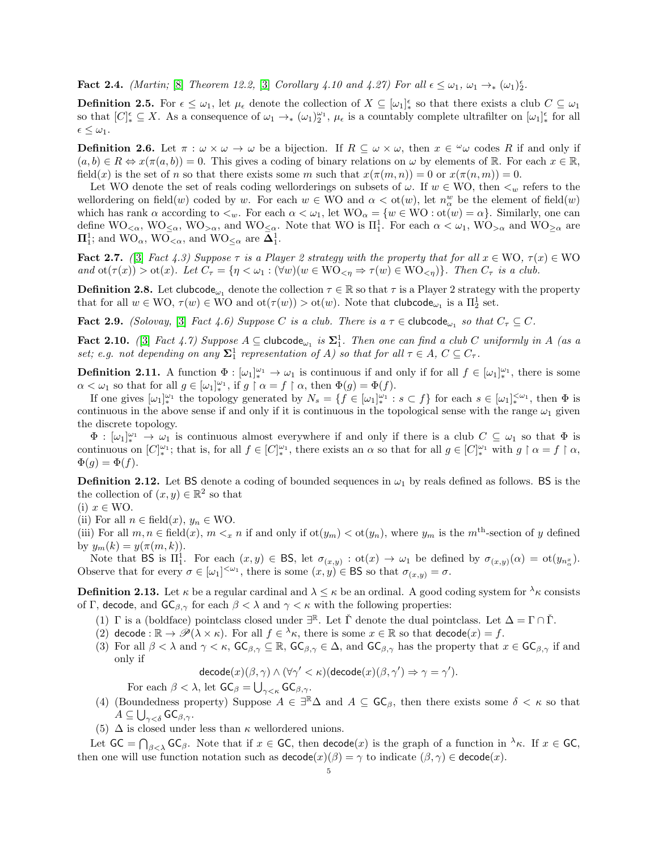Fact 2.4. (Martin; [\[8\]](#page-15-10) Theorem 12.2, [\[3\]](#page-15-0) Corollary 4.10 and 4.27) For all  $\epsilon \leq \omega_1$ ,  $\omega_1 \rightarrow_{\ast} (\omega_1)^{\epsilon}$ .

**Definition 2.5.** For  $\epsilon \leq \omega_1$ , let  $\mu_{\epsilon}$  denote the collection of  $X \subseteq [\omega_1]_{*}^{\epsilon}$  so that there exists a club  $C \subseteq \omega_1$ so that  $[C]_{*}^{\epsilon} \subseteq X$ . As a consequence of  $\omega_1 \to_{*} (\omega_1)_2^{\omega_1}$ ,  $\mu_{\epsilon}$  is a countably complete ultrafilter on  $[\omega_1]_{*}^{\epsilon}$  for all  $\epsilon \leq \omega_1$ .

<span id="page-4-2"></span>**Definition 2.6.** Let  $\pi : \omega \times \omega \to \omega$  be a bijection. If  $R \subseteq \omega \times \omega$ , then  $x \in \omega$  codes R if and only if  $(a, b) \in R \Leftrightarrow x(\pi(a, b)) = 0$ . This gives a coding of binary relations on  $\omega$  by elements of R. For each  $x \in \mathbb{R}$ , field(x) is the set of n so that there exists some m such that  $x(\pi(m,n)) = 0$  or  $x(\pi(n,m)) = 0$ .

Let WO denote the set of reals coding wellorderings on subsets of  $\omega$ . If  $w \in WO$ , then  $\lt_w$  refers to the wellordering on field(w) coded by w. For each  $w \in WO$  and  $\alpha < \text{ot}(w)$ , let  $n^w_\alpha$  be the element of field(w) which has rank  $\alpha$  according to  $\lt_w$ . For each  $\alpha \lt \omega_1$ , let  $WO_\alpha = \{w \in WO : ot(w) = \alpha\}$ . Similarly, one can define  $\rm{WO}_{\leq \alpha}$ ,  $\rm{WO}_{\leq \alpha}$ , and  $\rm{WO}_{\leq \alpha}$ . Note that WO is  $\Pi_1^1$ . For each  $\alpha < \omega_1$ ,  $\rm{WO}_{>\alpha}$  and  $\rm{WO}_{\geq \alpha}$  are  $\Pi_1^1$ ; and  $\text{WO}_{\alpha}$ ,  $\text{WO}_{\leq \alpha}$ , and  $\text{WO}_{\leq \alpha}$  are  $\Delta_1^1$ .

Fact 2.7. ([\[3\]](#page-15-0) Fact 4.3) Suppose  $\tau$  is a Player 2 strategy with the property that for all  $x \in WO$ ,  $\tau(x) \in WO$ and  $\text{ot}(\tau(x)) > \text{ot}(x)$ . Let  $C_{\tau} = \{\eta < \omega_1 : (\forall w)(w \in \text{WO}_{\leq \eta} \Rightarrow \tau(w) \in \text{WO}_{\leq \eta})\}\.$  Then  $C_{\tau}$  is a club.

**Definition 2.8.** Let clubcode<sub> $\omega_1$ </sub> denote the collection  $\tau \in \mathbb{R}$  so that  $\tau$  is a Player 2 strategy with the property that for all  $w \in \text{WO}$ ,  $\tau(w) \in \text{WO}$  and  $\text{ot}(\tau(w)) > \text{ot}(w)$ . Note that  $\text{clubcode}_{\omega_1}$  is a  $\Pi_2^1$  set.

<span id="page-4-3"></span>**Fact 2.9.** (Solovay, [\[3\]](#page-15-0) Fact 4.6) Suppose C is a club. There is a  $\tau \in$  clubcode<sub> $\omega_1$ </sub> so that  $C_{\tau} \subseteq C$ .

<span id="page-4-1"></span>Fact 2.10. ([\[3\]](#page-15-0) Fact 4.7) Suppose  $A \subseteq$  clubcode<sub> $\omega_1$ </sub> is  $\Sigma_1^1$ . Then one can find a club C uniformly in A (as a set; e.g. not depending on any  $\Sigma^1_1$  representation of A) so that for all  $\tau \in A$ ,  $C \subseteq C_{\tau}$ .

<span id="page-4-4"></span>**Definition 2.11.** A function  $\Phi : [\omega_1]_{*}^{\omega_1} \to \omega_1$  is continuous if and only if for all  $f \in [\omega_1]_{*}^{\omega_1}$ , there is some  $\alpha < \omega_1$  so that for all  $g \in [\omega_1]_*^{\omega_1}$ , if  $g \restriction \alpha = f \restriction \alpha$ , then  $\Phi(g) = \Phi(f)$ .

If one gives  $[\omega_1]_*^{\omega_1}$  the topology generated by  $N_s = \{f \in [\omega_1]_*^{\omega_1} : s \subset f\}$  for each  $s \in [\omega_1]_*^{<\omega_1}$ , then  $\Phi$  is continuous in the above sense if and only if it is continuous in the topological sense with the range  $\omega_1$  given the discrete topology.

 $\Phi : [\omega_1]_{*}^{\omega_1} \to \omega_1$  is continuous almost everywhere if and only if there is a club  $C \subseteq \omega_1$  so that  $\Phi$  is continuous on  $[C]_{*}^{\omega_1}$ ; that is, for all  $f \in [C]_{*}^{\omega_1}$ , there exists an  $\alpha$  so that for all  $g \in [C]_{*}^{\omega_1}$  with  $g \upharpoonright \alpha = f \upharpoonright \alpha$ ,  $\Phi(q) = \Phi(f).$ 

<span id="page-4-0"></span>**Definition 2.12.** Let BS denote a coding of bounded sequences in  $\omega_1$  by reals defined as follows. BS is the the collection of  $(x, y) \in \mathbb{R}^2$  so that

(i) 
$$
x \in \text{WO}
$$
.

(ii) For all  $n \in \text{field}(x)$ ,  $y_n \in \text{WO}$ .

(iii) For all  $m, n \in \text{field}(x)$ ,  $m \leq_x n$  if and only if  $\text{ot}(y_m) < \text{ot}(y_n)$ , where  $y_m$  is the  $m^{\text{th}}$ -section of y defined by  $y_m(k) = y(\pi(m, k)).$ 

Note that BS is  $\Pi_1^1$ . For each  $(x, y) \in BS$ , let  $\sigma_{(x,y)} : \text{ot}(x) \to \omega_1$  be defined by  $\sigma_{(x,y)}(\alpha) = \text{ot}(y_{n^x_{\alpha}})$ . Observe that for every  $\sigma \in [\omega_1]^{<\omega_1}$ , there is some  $(x, y) \in \mathsf{BS}$  so that  $\sigma_{(x, y)} = \sigma$ .

**Definition 2.13.** Let  $\kappa$  be a regular cardinal and  $\lambda \leq \kappa$  be an ordinal. A good coding system for  $\lambda \kappa$  consists of Γ, decode, and  $\mathsf{GC}_{\beta,\gamma}$  for each  $\beta < \lambda$  and  $\gamma < \kappa$  with the following properties:

- (1)  $\Gamma$  is a (boldface) pointclass closed under  $\exists^{\mathbb{R}}$ . Let  $\check{\Gamma}$  denote the dual pointclass. Let  $\Delta = \Gamma \cap \check{\Gamma}$ .
- (2) decode :  $\mathbb{R} \to \mathscr{P}(\lambda \times \kappa)$ . For all  $f \in \lambda_{\kappa}$ , there is some  $x \in \mathbb{R}$  so that decode $(x) = f$ .
- (3) For all  $\beta < \lambda$  and  $\gamma < \kappa$ ,  $\mathsf{GC}_{\beta,\gamma} \subseteq \mathbb{R}$ ,  $\mathsf{GC}_{\beta,\gamma} \in \Delta$ , and  $\mathsf{GC}_{\beta,\gamma}$  has the property that  $x \in \mathsf{GC}_{\beta,\gamma}$  if and only if

 $\mathsf{decode}(x)(\beta, \gamma) \land (\forall \gamma' < \kappa)(\mathsf{decode}(x)(\beta, \gamma') \Rightarrow \gamma = \gamma').$ 

For each  $\beta < \lambda$ , let  $\mathsf{GC}_{\beta} = \bigcup_{\gamma < \kappa} \mathsf{GC}_{\beta,\gamma}$ .

- (4) (Boundedness property) Suppose  $A \in \exists^{\mathbb{R}} \Delta$  and  $A \subseteq \mathsf{GC}_{\beta}$ , then there exists some  $\delta < \kappa$  so that  $A\subseteq\bigcup_{\gamma<\delta}\mathsf{GC}_{\beta,\gamma}.$
- (5)  $\Delta$  is closed under less than  $\kappa$  wellordered unions.

Let  $GC = \bigcap_{\beta < \lambda} GC_{\beta}$ . Note that if  $x \in GC$ , then  $decode(x)$  is the graph of a function in  $\lambda_{\kappa}$ . If  $x \in GC$ , then one will use function notation such as  $\mathsf{decode}(x)(\beta) = \gamma$  to indicate  $(\beta, \gamma) \in \mathsf{decode}(x)$ .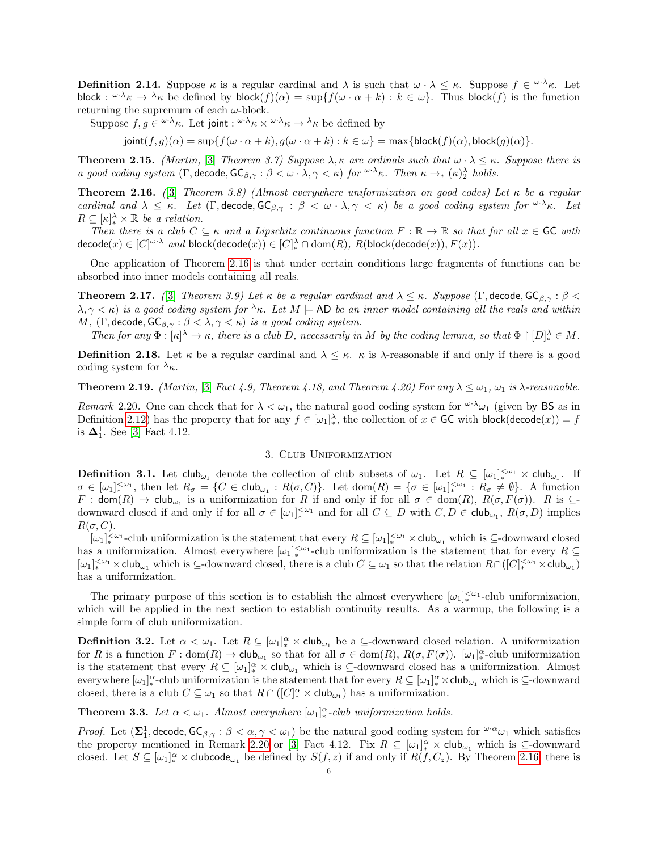**Definition 2.14.** Suppose  $\kappa$  is a regular cardinal and  $\lambda$  is such that  $\omega \cdot \lambda \leq \kappa$ . Suppose  $f \in \omega \cdot \lambda_{\kappa}$ . Let block:  $\omega \cdot \lambda_{\kappa} \to \lambda_{\kappa}$  be defined by block $(f)(\alpha) = \sup\{f(\omega \cdot \alpha + k) : k \in \omega\}$ . Thus block $(f)$  is the function returning the supremum of each  $\omega\text{-block.}$ 

Suppose  $f, g \in \omega \cdot \lambda_{\kappa}$ . Let joint :  $\omega \cdot \lambda_{\kappa} \times \omega \cdot \lambda_{\kappa} \to \lambda_{\kappa}$  be defined by

 $\text{joint}(f, g)(\alpha) = \sup\{f(\omega \cdot \alpha + k), g(\omega \cdot \alpha + k) : k \in \omega\} = \max\{\text{block}(f)(\alpha), \text{block}(g)(\alpha)\}.$ 

**Theorem 2.15.** (Martin, [\[3\]](#page-15-0) Theorem 3.7) Suppose  $\lambda$ ,  $\kappa$  are ordinals such that  $\omega \cdot \lambda \leq \kappa$ . Suppose there is a good coding system  $(\Gamma, \text{decode}, \text{GC}_{\beta, \gamma} : \beta < \omega \cdot \lambda, \gamma < \kappa)$  for  $\omega \cdot \lambda \kappa$ . Then  $\kappa \to_{\ast} (\kappa)_{2}^{\lambda}$  holds.

<span id="page-5-0"></span>**Theorem 2.16.** ([\[3\]](#page-15-0) Theorem 3.8) (Almost everywhere uniformization on good codes) Let  $\kappa$  be a regular cardinal and  $\lambda \leq \kappa$ . Let  $(\Gamma, \text{decode}, \text{GC}_{\beta, \gamma} : \beta < \omega \cdot \lambda, \gamma < \kappa)$  be a good coding system for  $\omega \cdot \lambda \kappa$ . Let  $R \subseteq [\kappa]_*^{\lambda} \times \mathbb{R}$  be a relation.

Then there is a club  $C \subseteq \kappa$  and a Lipschitz continuous function  $F : \mathbb{R} \to \mathbb{R}$  so that for all  $x \in \mathsf{GC}$  with  $\mathsf{decode}(x) \in [C]^{\omega \cdot \lambda} \; \textit{and} \; \mathsf{block}(\mathsf{decode}(x)) \in [C]_*^\lambda \cap \mathsf{dom}(R), \; R(\mathsf{block}(\mathsf{decode}(x)), F(x)).$ 

One application of Theorem [2.16](#page-5-0) is that under certain conditions large fragments of functions can be absorbed into inner models containing all reals.

<span id="page-5-1"></span>**Theorem 2.17.** ([\[3\]](#page-15-0) Theorem 3.9) Let  $\kappa$  be a regular cardinal and  $\lambda \leq \kappa$ . Suppose (Γ, decode,  $\mathsf{GC}_{\beta,\gamma}$ :  $\beta$  <  $\lambda, \gamma < \kappa$ ) is a good coding system for  $\lambda \kappa$ . Let  $M \models$  AD be an inner model containing all the reals and within M,  $(\Gamma, \text{decode}, \text{GC}_{\beta, \gamma} : \beta < \lambda, \gamma < \kappa)$  is a good coding system.

Then for any  $\Phi : [\kappa]^{\lambda} \to \kappa$ , there is a club D, necessarily in M by the coding lemma, so that  $\Phi \restriction [D]_{*}^{\lambda} \in M$ .

**Definition 2.18.** Let  $\kappa$  be a regular cardinal and  $\lambda \leq \kappa$ .  $\kappa$  is  $\lambda$ -reasonable if and only if there is a good coding system for  $\lambda_{\kappa}$ .

**Theorem 2.19.** (Martin, [\[3\]](#page-15-0) Fact 4.9, Theorem 4.18, and Theorem 4.26) For any  $\lambda \leq \omega_1$ ,  $\omega_1$  is  $\lambda$ -reasonable.

<span id="page-5-2"></span>Remark 2.20. One can check that for  $\lambda < \omega_1$ , the natural good coding system for  $\omega \cdot \lambda_{\omega_1}$  (given by BS as in Definition [2.12\)](#page-4-0) has the property that for any  $f \in [\omega_1]^{\lambda}$ , the collection of  $x \in \mathsf{GC}$  with block(decode $(x)$ ) = f is  $\Delta_1^1$ . See [\[3\]](#page-15-0) Fact 4.12.

## 3. Club Uniformization

**Definition 3.1.** Let  $\text{club}_{\omega_1}$  denote the collection of club subsets of  $\omega_1$ . Let  $R \subseteq [\omega_1]_{*}^{<\omega_1} \times \text{club}_{\omega_1}$ . If  $\sigma \in [\omega_1]_*^{<\omega_1}$ , then let  $R_{\sigma} = \{C \in \mathsf{club}_{\omega_1} : R(\sigma, C)\}.$  Let  $\mathrm{dom}(R) = \{\sigma \in [\omega_1]_*^{<\omega_1} : R_{\sigma} \neq \emptyset\}.$  A function  $F: \mathsf{dom}(R) \to \mathsf{club}_{\omega_1}$  is a uniformization for R if and only if for all  $\sigma \in \mathsf{dom}(R)$ ,  $R(\sigma, F(\sigma))$ . R is  $\subseteq$ downward closed if and only if for all  $\sigma \in [\omega_1]_{*}^{<\omega_1}$  and for all  $C \subseteq D$  with  $C, D \in \mathsf{club}_{\omega_1}, R(\sigma, D)$  implies  $R(\sigma, C)$ .

 $[\omega_1]_*<sup>{\omega_1} \times \omega_1</sup>$ -club uniformization is the statement that every  $R \subseteq [\omega_1]_*<sup>{\omega_1} \times</sup>$ club<sub> $\omega_1$ </sub> which is  $\subseteq$ -downward closed has a uniformization. Almost everywhere  $[\omega_1]_*^{\leq \omega_1}$ -club uniformization is the statement that for every  $R \subseteq$  $[\omega_1]_*<sup>{\omega_1}</sup> \times \text{club}_{\omega_1}$  which is  $\subseteq$ -downward closed, there is a club  $C \subseteq \omega_1$  so that the relation  $R \cap ([C]_{*}<sup>{\omega_1}</sup> \times \text{club}_{\omega_1})$ has a uniformization.

The primary purpose of this section is to establish the almost everywhere  $[\omega_1]_{*}^{<\omega_1}$ -club uniformization, which will be applied in the next section to establish continuity results. As a warmup, the following is a simple form of club uniformization.

**Definition 3.2.** Let  $\alpha < \omega_1$ . Let  $R \subseteq [\omega_1]_*^{\alpha} \times \text{club}_{\omega_1}$  be a  $\subseteq$ -downward closed relation. A uniformization for R is a function  $F: dom(R) \to club_{\omega_1}$  so that for all  $\sigma \in dom(R)$ ,  $R(\sigma, F(\sigma))$ .  $[\omega_1]_{*}^{\alpha}$ -club uniformization is the statement that every  $R \subseteq [\omega_1]^{\alpha}_* \times \text{club}_{\omega_1}$  which is  $\subseteq$ -downward closed has a uniformization. Almost everywhere  $[\omega_1]_*^{\alpha}$ -club uniformization is the statement that for every  $R \subseteq [\omega_1]_*^{\alpha} \times$ club<sub> $\omega_1$ </sub> which is  $\subseteq$ -downward closed, there is a club  $C \subseteq \omega_1$  so that  $R \cap ([C]_*^{\alpha} \times \text{club}_{\omega_1})$  has a uniformization.

<span id="page-5-3"></span>**Theorem 3.3.** Let  $\alpha < \omega_1$ . Almost everywhere  $[\omega_1]_{*}^{\alpha}$ -club uniformization holds.

*Proof.* Let  $(\Sigma_1^1, \text{decode}, \text{GC}_{\beta, \gamma}: \beta < \alpha, \gamma < \omega_1)$  be the natural good coding system for  $\omega \alpha_1$  which satisfies the property mentioned in Remark [2.20](#page-5-2) or [\[3\]](#page-15-0) Fact 4.12. Fix  $R \subseteq [\omega_1]_*^{\alpha} \times \text{club}_{\omega_1}$  which is  $\subseteq$ -downward closed. Let  $S \subseteq [\omega_1]^{\alpha} \times$  clubcode<sub> $\omega_1$ </sub> be defined by  $S(f, z)$  if and only if  $R(f, C_z)$ . By Theorem [2.16,](#page-5-0) there is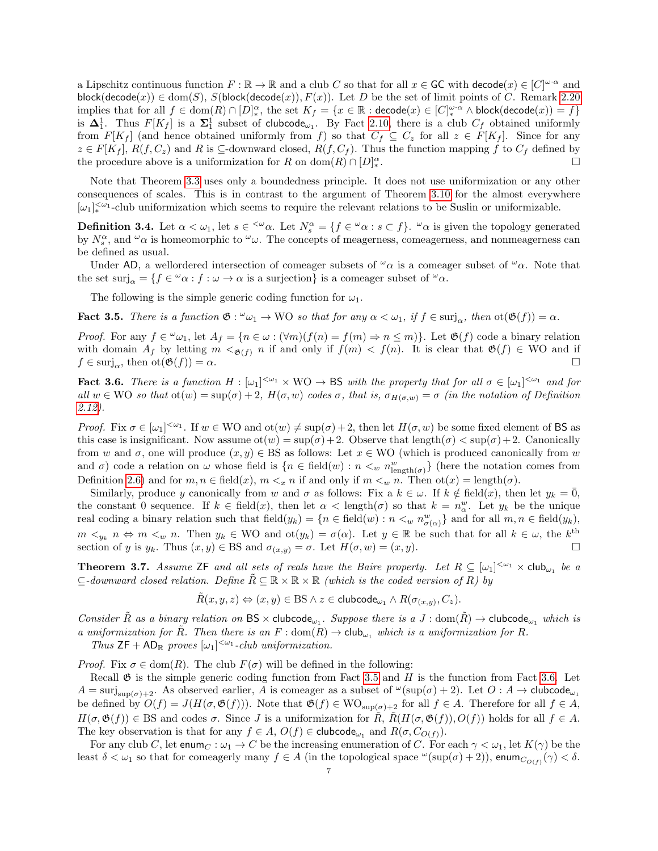a Lipschitz continuous function  $F : \mathbb{R} \to \mathbb{R}$  and a club C so that for all  $x \in \mathsf{GC}$  with  $\mathsf{decode}(x) \in [C]^{\omega \cdot \alpha}$  and  $block(decode(x)) \in dom(S), S(block(decode(x)), F(x)).$  Let D be the set of limit points of C. Remark [2.20](#page-5-2) implies that for all  $f \in \text{dom}(R) \cap [D]_*^{\alpha}$ , the set  $K_f = \{x \in \mathbb{R} : \text{decode}(x) \in [C]_*^{\omega \cdot \alpha} \land \text{block}(\text{decode}(x)) = f\}$ is  $\Delta_1^1$ . Thus  $F[K_f]$  is a  $\Sigma_1^1$  subset of clubcode<sub> $\omega_1$ </sub>. By Fact [2.10,](#page-4-1) there is a club  $C_f$  obtained uniformly from  $F[K_f]$  (and hence obtained uniformly from f) so that  $C_f \subseteq C_z$  for all  $z \in F[K_f]$ . Since for any  $z \in F[K_f], R(f, C_z)$  and R is  $\subseteq$ -downward closed,  $R(f, C_f)$ . Thus the function mapping f to  $C_f$  defined by the procedure above is a uniformization for R on  $\text{dom}(R) \cap [D]_*^{\alpha}$ .

Note that Theorem [3.3](#page-5-3) uses only a boundedness principle. It does not use uniformization or any other consequences of scales. This is in contrast to the argument of Theorem [3.10](#page-8-0) for the almost everywhere  $[\omega_1]_*<sup>{\omega_1}</sup>$ -club uniformization which seems to require the relevant relations to be Suslin or uniformizable.

**Definition 3.4.** Let  $\alpha < \omega_1$ , let  $s \in \{\omega_\alpha\}$ . Let  $N_s^\alpha = \{f \in \omega_\alpha : s \subset f\}$ .  $\omega_\alpha$  is given the topology generated by  $N_s^{\alpha}$ , and  $\omega_{\alpha}$  is homeomorphic to  $\omega_{\omega}$ . The concepts of meagerness, comeagerness, and nonmeagerness can be defined as usual.

Under AD, a wellordered intersection of comeager subsets of  $\alpha$  is a comeager subset of  $\alpha$ . Note that the set  $\text{surj}_{\alpha} = \{f \in {}^{\omega}\alpha : f : \omega \to \alpha \text{ is a surjection}\}\$ is a comeager subset of  ${}^{\omega}\alpha$ .

The following is the simple generic coding function for  $\omega_1$ .

<span id="page-6-1"></span>**Fact 3.5.** There is a function  $\mathfrak{G}: \omega_1 \to \mathbb{W}$  so that for any  $\alpha < \omega_1$ , if  $f \in \text{surj}_{\alpha}$ , then  $\text{ot}(\mathfrak{G}(f)) = \alpha$ .

*Proof.* For any  $f \in \omega_{\omega_1}$ , let  $A_f = \{n \in \omega : (\forall m)(f(n) = f(m) \Rightarrow n \leq m)\}\.$  Let  $\mathfrak{G}(f)$  code a binary relation with domain  $A_f$  by letting  $m <_{\mathfrak{G}(f)} n$  if and only if  $f(m) < f(n)$ . It is clear that  $\mathfrak{G}(f) \in WO$  and if  $f \in \text{surj}_{\alpha}$ , then  $\text{ot}(\mathfrak{G}(f)) = \alpha$ .

<span id="page-6-2"></span>**Fact 3.6.** There is a function  $H : [\omega_1]^{<\omega_1} \times WO \rightarrow BS$  with the property that for all  $\sigma \in [\omega_1]^{<\omega_1}$  and for all  $w \in WO$  so that  $ot(w) = sup(\sigma) + 2$ ,  $H(\sigma, w)$  codes  $\sigma$ , that is,  $\sigma_{H(\sigma, w)} = \sigma$  (in the notation of Definition [2.12\)](#page-4-0).

Proof. Fix  $\sigma \in [\omega_1]^{<\omega_1}$ . If  $w \in WO$  and  $ot(w) \neq sup(\sigma)+2$ , then let  $H(\sigma, w)$  be some fixed element of BS as this case is insignificant. Now assume  $\text{ot}(w) = \sup(\sigma) + 2$ . Observe that  $\text{length}(\sigma) < \sup(\sigma) + 2$ . Canonically from w and  $\sigma$ , one will produce  $(x, y) \in BS$  as follows: Let  $x \in WO$  (which is produced canonically from w and  $\sigma$ ) code a relation on  $\omega$  whose field is  $\{n \in \text{field}(w) : n \leq_w n_{\text{length}(\sigma)}^w\}$  (here the notation comes from Definition [2.6\)](#page-4-2) and for  $m, n \in \text{field}(x), m \leq x n$  if and only if  $m \leq w n$ . Then  $\text{ot}(x) = \text{length}(\sigma)$ .

Similarly, produce y canonically from w and  $\sigma$  as follows: Fix a  $k \in \omega$ . If  $k \notin \text{field}(x)$ , then let  $y_k = 0$ , the constant 0 sequence. If  $k \in \text{field}(x)$ , then let  $\alpha < \text{length}(\sigma)$  so that  $k = n_{\alpha}^w$ . Let  $y_k$  be the unique real coding a binary relation such that  $\text{field}(y_k) = \{n \in \text{field}(w) : n \leq_w n_{\sigma(\alpha)}^w\}$  and for all  $m, n \in \text{field}(y_k)$ ,  $m \leq_{y_k} n \Leftrightarrow m \leq_w n$ . Then  $y_k \in WO$  and  $ot(y_k) = \sigma(\alpha)$ . Let  $y \in \mathbb{R}$  be such that for all  $k \in \omega$ , the  $k^{\text{th}}$ section of y is  $y_k$ . Thus  $(x, y) \in \text{BS}$  and  $\sigma_{(x, y)} = \sigma$ . Let  $H(\sigma, w) = (x, y)$ .

<span id="page-6-0"></span>**Theorem 3.7.** Assume  $\mathsf{ZF}$  and all sets of reals have the Baire property. Let  $R \subseteq [\omega_1]^{<\omega_1} \times \mathsf{club}_{\omega_1}$  be a ⊂-downward closed relation. Define  $\tilde{R} \subseteq \mathbb{R} \times \mathbb{R} \times \mathbb{R}$  (which is the coded version of R) by

 $\tilde{R}(x, y, z) \Leftrightarrow (x, y) \in \text{BS} \land z \in \text{clubcode}_{\omega_1} \land R(\sigma_{(x, y)}, C_z).$ 

Consider  $\tilde{R}$  as a binary relation on  $BS \times$  clubcode<sub> $\omega_1$ </sub>. Suppose there is a  $J : dom(\tilde{R}) \to$  clubcode<sub> $\omega_1$ </sub> which is a uniformization for  $\tilde{R}$ . Then there is an  $F : dom(R) \to club_{\omega_1}$  which is a uniformization for R.

Thus  $ZF + AD_{\mathbb{R}}$  proves  $[\omega_1]^{<\omega_1}$ -club uniformization.

*Proof.* Fix  $\sigma \in \text{dom}(R)$ . The club  $F(\sigma)$  will be defined in the following:

Recall  $\mathfrak G$  is the simple generic coding function from Fact [3.5](#page-6-1) and H is the function from Fact [3.6.](#page-6-2) Let  $A = \sup_{\sigma \in \mathcal{A}} \mathcal{A}$ . As observed earlier, A is comeager as a subset of  $\omega(\sup(\sigma) + 2)$ . Let  $O : A \to \text{clubcode}_{\omega_1}$ be defined by  $O(f) = J(H(\sigma, \mathfrak{G}(f)))$ . Note that  $\mathfrak{G}(f) \in WO_{sup(\sigma)+2}$  for all  $f \in A$ . Therefore for all  $f \in A$ ,  $H(\sigma, \mathfrak{G}(f)) \in \text{BS}$  and codes  $\sigma$ . Since J is a uniformization for  $\tilde{R}$ ,  $\tilde{R}(H(\sigma, \mathfrak{G}(f)), O(f))$  holds for all  $f \in A$ . The key observation is that for any  $f \in A$ ,  $O(f) \in \text{clubcode}_{\omega_1}$  and  $R(\sigma, C_{O(f)})$ .

For any club C, let  $\text{enum}_C : \omega_1 \to C$  be the increasing enumeration of C. For each  $\gamma < \omega_1$ , let  $K(\gamma)$  be the least  $\delta < \omega_1$  so that for comeagerly many  $f \in A$  (in the topological space  $\omega(\sup(\sigma) + 2)$ ), enum $C_{O(f)}(\gamma) < \delta$ .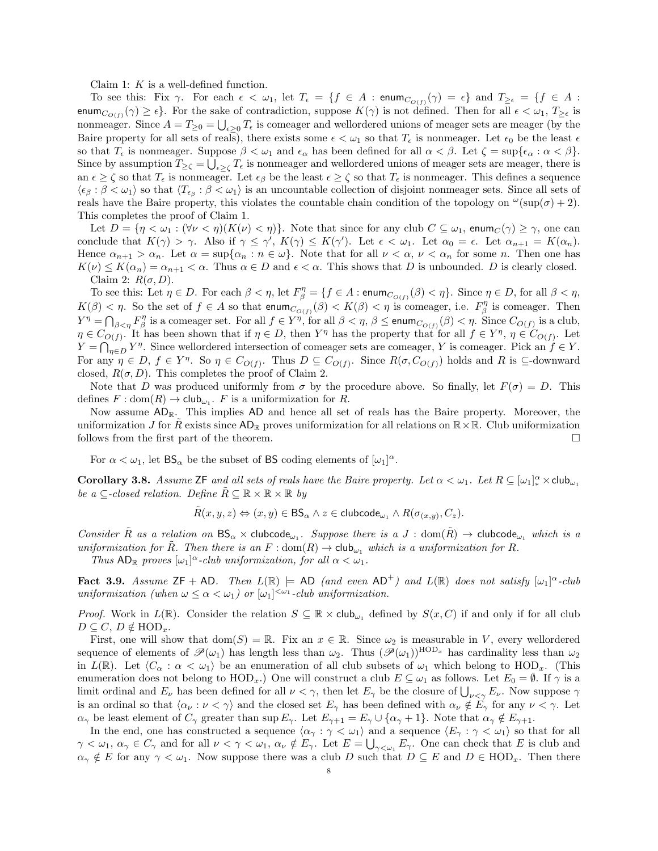Claim 1: K is a well-defined function.

To see this: Fix  $\gamma$ . For each  $\epsilon < \omega_1$ , let  $T_{\epsilon} = \{f \in A : \mathsf{enum}_{C_{O(f)}}(\gamma) = \epsilon\}$  and  $T_{\geq \epsilon} = \{f \in A : \mathsf{num}_{C_{O(f)}}(\gamma) = \epsilon\}$ enum $C_{O(f)}(\gamma) \ge \epsilon$ . For the sake of contradiction, suppose  $K(\gamma)$  is not defined. Then for all  $\epsilon < \omega_1$ ,  $T_{\ge \epsilon}$  is nonmeager. Since  $A = T_{\geq 0} = \bigcup_{\epsilon \geq 0} T_{\epsilon}$  is comeager and wellordered unions of meager sets are meager (by the Baire property for all sets of reals), there exists some  $\epsilon < \omega_1$  so that  $T_{\epsilon}$  is nonmeager. Let  $\epsilon_0$  be the least  $\epsilon$ so that  $T_{\epsilon}$  is nonmeager. Suppose  $\beta < \omega_1$  and  $\epsilon_{\alpha}$  has been defined for all  $\alpha < \beta$ . Let  $\zeta = \sup{\{\epsilon_{\alpha} : \alpha < \beta\}}$ . Since by assumption  $T_{\geq \zeta} = \bigcup_{\epsilon \geq \zeta} T_{\epsilon}$  is nonmeager and wellordered unions of meager sets are meager, there is an  $\epsilon \geq \zeta$  so that  $T_{\epsilon}$  is nonmeager. Let  $\epsilon_{\beta}$  be the least  $\epsilon \geq \zeta$  so that  $T_{\epsilon}$  is nonmeager. This defines a sequence  $\langle \epsilon_\beta : \beta < \omega_1 \rangle$  so that  $\langle T_{\epsilon_\beta} : \beta < \omega_1 \rangle$  is an uncountable collection of disjoint nonmeager sets. Since all sets of reals have the Baire property, this violates the countable chain condition of the topology on  $\omega(\sup(\sigma) + 2)$ . This completes the proof of Claim 1.

Let  $D = \{ \eta < \omega_1 : (\forall \nu < \eta) (K(\nu) < \eta) \}.$  Note that since for any club  $C \subseteq \omega_1$ , enum $C(\gamma) \geq \gamma$ , one can conclude that  $K(\gamma) > \gamma$ . Also if  $\gamma \leq \gamma'$ ,  $K(\gamma) \leq K(\gamma')$ . Let  $\epsilon < \omega_1$ . Let  $\alpha_0 = \epsilon$ . Let  $\alpha_{n+1} = K(\alpha_n)$ . Hence  $\alpha_{n+1} > \alpha_n$ . Let  $\alpha = \sup{\{\alpha_n : n \in \omega\}}$ . Note that for all  $\nu < \alpha$ ,  $\nu < \alpha_n$  for some n. Then one has  $K(\nu) \leq K(\alpha_n) = \alpha_{n+1} < \alpha$ . Thus  $\alpha \in D$  and  $\epsilon < \alpha$ . This shows that D is unbounded. D is clearly closed. Claim 2:  $R(\sigma, D)$ .

To see this: Let  $\eta \in D$ . For each  $\beta < \eta$ , let  $F_{\beta}^{\eta} = \{f \in A : \text{enum}_{C_{O(f)}}(\beta) < \eta\}$ . Since  $\eta \in D$ , for all  $\beta < \eta$ ,  $K(\beta) < \eta$ . So the set of  $f \in A$  so that enum $C_{O(f)}(\beta) < K(\beta) < \eta$  is comeager, i.e.  $F_{\beta}^{\eta}$  is comeager. Then  $Y^{\eta} = \bigcap_{\beta \leq \eta} F_{\beta}^{\eta}$  is a comeager set. For all  $f \in Y^{\eta}$ , for all  $\beta < \eta$ ,  $\beta \leq$  enum $_{C_{O(f)}}(\beta) < \eta$ . Since  $C_{O(f)}$  is a club,  $\eta \in C_{O(f)}$ . It has been shown that if  $\eta \in D$ , then Y<sup>n</sup> has the property that for all  $f \in Y^{\eta}$ ,  $\eta \in C_{O(f)}$ . Let  $Y = \bigcap_{\eta \in D} Y^{\eta}$ . Since wellordered intersection of comeager sets are comeager, Y is comeager. Pick an  $f \in Y$ . For any  $\eta \in D$ ,  $f \in Y^{\eta}$ . So  $\eta \in C_{O(f)}$ . Thus  $D \subseteq C_{O(f)}$ . Since  $R(\sigma, C_{O(f)})$  holds and R is  $\subseteq$ -downward closed,  $R(\sigma, D)$ . This completes the proof of Claim 2.

Note that D was produced uniformly from  $\sigma$  by the procedure above. So finally, let  $F(\sigma) = D$ . This defines  $F: dom(R) \to club_{\omega_1}$ . F is a uniformization for R.

Now assume  $AD_{\mathbb{R}}$ . This implies  $AD$  and hence all set of reals has the Baire property. Moreover, the uniformization J for R exists since  $AD_R$  proves uniformization for all relations on  $\mathbb{R}\times\mathbb{R}$ . Club uniformization follows from the first part of the theorem.

For  $\alpha < \omega_1$ , let  $BS_{\alpha}$  be the subset of BS coding elements of  $[\omega_1]^{\alpha}$ .

**Corollary 3.8.** Assume ZF and all sets of reals have the Baire property. Let  $\alpha < \omega_1$ . Let  $R \subseteq [\omega_1]_*^{\alpha} \times \text{club}_{\omega_1}$ be a  $\subseteq$ -closed relation. Define  $R \subseteq \mathbb{R} \times \mathbb{R} \times \mathbb{R}$  by

 $\tilde{R}(x, y, z) \Leftrightarrow (x, y) \in \mathsf{BS}_{\alpha} \land z \in \mathsf{clubcode}_{\omega_1} \land R(\sigma_{(x, y)}, C_z).$ 

Consider  $\tilde{R}$  as a relation on  $BS_{\alpha} \times$  clubcode<sub> $\omega_1$ </sub>. Suppose there is a  $J : dom(\tilde{R}) \to$  clubcode<sub> $\omega_1$ </sub> which is a uniformization for R. Then there is an  $F : dom(R) \to club_{\omega_1}$  which is a uniformization for R.

Thus  $AD_{\mathbb{R}}$  proves  $[\omega_1]^{\alpha}$ -club uniformization, for all  $\alpha < \omega_1$ .

<span id="page-7-0"></span>**Fact 3.9.** Assume  $ZF + AD$ . Then  $L(\mathbb{R}) \models AD$  (and even  $AD^+$ ) and  $L(\mathbb{R})$  does not satisfy  $[\omega_1]^\alpha$ -club uniformization (when  $\omega \leq \alpha < \omega_1$ ) or  $[\omega_1]^{<\omega_1}$ -club uniformization.

*Proof.* Work in  $L(\mathbb{R})$ . Consider the relation  $S \subseteq \mathbb{R} \times \text{club}_{\omega_1}$  defined by  $S(x, C)$  if and only if for all club  $D \subseteq C$ ,  $D \notin \text{HOD}_x$ .

First, one will show that  $dom(S) = \mathbb{R}$ . Fix an  $x \in \mathbb{R}$ . Since  $\omega_2$  is measurable in V, every wellordered sequence of elements of  $\mathscr{P}(\omega_1)$  has length less than  $\omega_2$ . Thus  $(\mathscr{P}(\omega_1))^{\text{HOD}_x}$  has cardinality less than  $\omega_2$ in  $L(\mathbb{R})$ . Let  $\langle C_\alpha : \alpha < \omega_1 \rangle$  be an enumeration of all club subsets of  $\omega_1$  which belong to HOD<sub>x</sub>. (This enumeration does not belong to  $HOD_x$ .) One will construct a club  $E \subseteq \omega_1$  as follows. Let  $E_0 = \emptyset$ . If  $\gamma$  is a limit ordinal and  $E_\nu$  has been defined for all  $\nu < \gamma$ , then let  $E_\gamma$  be the closure of  $\bigcup_{\nu < \gamma} E_\nu$ . Now suppose  $\gamma$ is an ordinal so that  $\langle \alpha_{\nu} : \nu < \gamma \rangle$  and the closed set  $E_{\gamma}$  has been defined with  $\alpha_{\nu} \notin E_{\gamma}$  for any  $\nu < \gamma$ . Let  $\alpha_{\gamma}$  be least element of  $C_{\gamma}$  greater than sup  $E_{\gamma}$ . Let  $E_{\gamma+1} = E_{\gamma} \cup \{\alpha_{\gamma}+1\}$ . Note that  $\alpha_{\gamma} \notin E_{\gamma+1}$ .

In the end, one has constructed a sequence  $\langle \alpha_{\gamma} : \gamma < \omega_1 \rangle$  and a sequence  $\langle E_{\gamma} : \gamma < \omega_1 \rangle$  so that for all  $\gamma < \omega_1, \, \alpha_\gamma \in C_\gamma$  and for all  $\nu < \gamma < \omega_1, \, \alpha_\nu \notin E_\gamma$ . Let  $E = \bigcup_{\gamma < \omega_1} E_\gamma$ . One can check that E is club and  $\alpha_{\gamma} \notin E$  for any  $\gamma < \omega_1$ . Now suppose there was a club D such that  $D \subseteq E$  and  $D \in \text{HOD}_x$ . Then there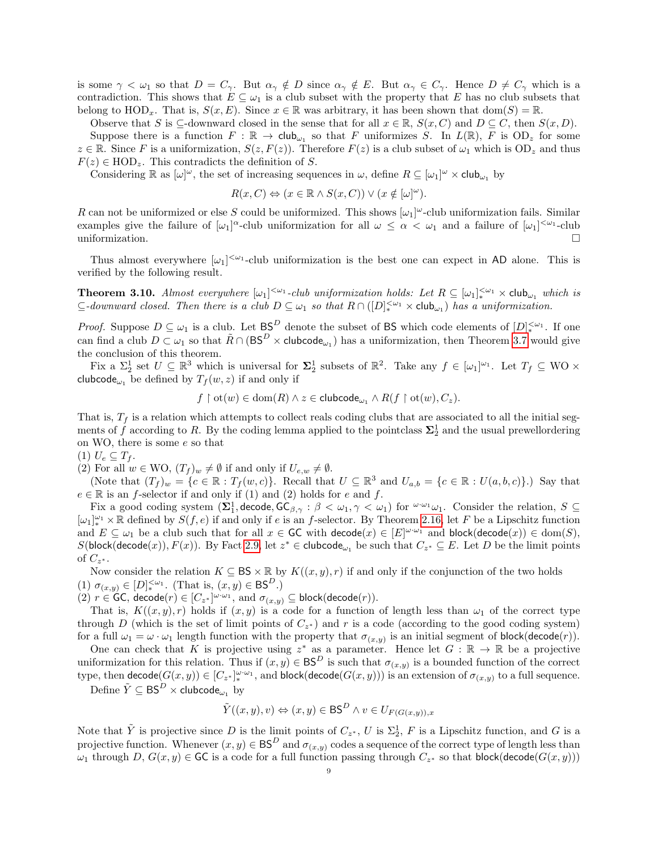is some  $\gamma < \omega_1$  so that  $D = C_{\gamma}$ . But  $\alpha_{\gamma} \notin D$  since  $\alpha_{\gamma} \notin E$ . But  $\alpha_{\gamma} \in C_{\gamma}$ . Hence  $D \neq C_{\gamma}$  which is a contradiction. This shows that  $E \subseteq \omega_1$  is a club subset with the property that E has no club subsets that belong to  $HOD_x$ . That is,  $S(x, E)$ . Since  $x \in \mathbb{R}$  was arbitrary, it has been shown that  $dom(S) = \mathbb{R}$ .

Observe that S is  $\subseteq$ -downward closed in the sense that for all  $x \in \mathbb{R}$ ,  $S(x, C)$  and  $D \subseteq C$ , then  $S(x, D)$ . Suppose there is a function  $F : \mathbb{R} \to \text{club}_{\omega_1}$  so that F uniformizes S. In  $L(\mathbb{R})$ , F is  $OD_z$  for some  $z \in \mathbb{R}$ . Since F is a uniformization,  $S(z, F(z))$ . Therefore  $F(z)$  is a club subset of  $\omega_1$  which is  $OD_z$  and thus  $F(z) \in \text{HOD}_{z}$ . This contradicts the definition of S.

Considering  $\mathbb R$  as  $[\omega]^\omega$ , the set of increasing sequences in  $\omega$ , define  $R \subseteq [\omega_1]^\omega \times \mathsf{club}_{\omega_1}$  by

$$
R(x, C) \Leftrightarrow (x \in \mathbb{R} \wedge S(x, C)) \vee (x \notin [\omega]^{\omega}).
$$

R can not be uniformized or else S could be uniformized. This shows  $[\omega_1]^\omega$ -club uniformization fails. Similar examples give the failure of  $[\omega_1]^\alpha$ -club uniformization for all  $\omega \leq \alpha < \omega_1$  and a failure of  $[\omega_1]^{<\omega_1}$ -club uniformization.

Thus almost everywhere  $[\omega_1]^{<\omega_1}$ -club uniformization is the best one can expect in AD alone. This is verified by the following result.

<span id="page-8-0"></span>**Theorem 3.10.** Almost everywhere  $[\omega_1]^{<\omega_1}$ -club uniformization holds: Let  $R \subseteq [\omega_1]^{<\omega_1}$   $\times$  club<sub> $\omega_1$ </sub> which is  $\subseteq$ -downward closed. Then there is a club  $D \subseteq \omega_1$  so that  $R \cap ([D]_{*}^{< \omega_1} \times \text{club}_{\omega_1})$  has a uniformization.

*Proof.* Suppose  $D \subseteq \omega_1$  is a club. Let  $BS^D$  denote the subset of BS which code elements of  $[D]_{*}^{<\omega_1}$ . If one can find a club  $D \subset \omega_1$  so that  $\tilde{R} \cap (\text{BS}^D \times \text{clubcode}_{\omega_1})$  has a uniformization, then Theorem [3.7](#page-6-0) would give the conclusion of this theorem.

Fix a  $\Sigma_2^1$  set  $U \subseteq \mathbb{R}^3$  which is universal for  $\Sigma_2^1$  subsets of  $\mathbb{R}^2$ . Take any  $f \in [\omega_1]^{\omega_1}$ . Let  $T_f \subseteq WO \times$ clubcode<sub> $\omega_1$ </sub> be defined by  $T_f(w, z)$  if and only if

$$
f\restriction \mathrm{ot}(w)\in \mathrm{dom}(R)\land z\in \mathsf{clubcode}_{\omega_1}\land R(f\restriction \mathrm{ot}(w),C_z).
$$

That is,  $T_f$  is a relation which attempts to collect reals coding clubs that are associated to all the initial segments of f according to R. By the coding lemma applied to the pointclass  $\Sigma_2^1$  and the usual prewellordering on WO, there is some e so that

 $(1) U_e \subseteq T_f$ .

(2) For all  $w \in \text{WO}, (T_f)_w \neq \emptyset$  if and only if  $U_{e,w} \neq \emptyset$ .

(Note that  $(T_f)_w = \{c \in \mathbb{R} : T_f(w, c)\}.$  Recall that  $U \subseteq \mathbb{R}^3$  and  $U_{a,b} = \{c \in \mathbb{R} : U(a, b, c)\}.$ ) Say that  $e \in \mathbb{R}$  is an f-selector if and only if (1) and (2) holds for e and f.

Fix a good coding system  $(\Sigma_1^1, \text{decode}, \text{GC}_{\beta, \gamma}: \beta < \omega_1, \gamma < \omega_1)$  for  $\omega_{\alpha_1} \omega_1$ . Consider the relation,  $S \subseteq$  $[\omega_1]_*^{\omega_1} \times \mathbb{R}$  defined by  $S(f, e)$  if and only if e is an f-selector. By Theorem [2.16,](#page-5-0) let F be a Lipschitz function and  $E \subseteq \omega_1$  be a club such that for all  $x \in \mathsf{GC}$  with  $\mathsf{decode}(x) \in [E]^{\omega \cdot \omega_1}$  and  $\mathsf{block}(\mathsf{decode}(x)) \in \mathsf{dom}(S)$ ,  $S(\text{block}(\text{decode}(x)), F(x))$ . By Fact [2.9,](#page-4-3) let  $z^* \in \text{clubcode}_{\omega_1}$  be such that  $C_{z^*} \subseteq E$ . Let D be the limit points of  $C_{z^*}$ .

Now consider the relation  $K \subseteq BS \times \mathbb{R}$  by  $K((x, y), r)$  if and only if the conjunction of the two holds (1)  $\sigma_{(x,y)} \in [D]_{*}^{<\omega_1}$ . (That is,  $(x,y) \in \text{BS}^D$ .)

(2)  $r \in \mathsf{GC}$ , decode $(r) \in [C_{z^*}]^{\omega \cdot \omega_1}$ , and  $\sigma_{(x,y)} \subseteq \mathsf{block}(\mathsf{decode}(r))$ .

That is,  $K((x, y), r)$  holds if  $(x, y)$  is a code for a function of length less than  $\omega_1$  of the correct type through D (which is the set of limit points of  $C_{z^*}$ ) and r is a code (according to the good coding system) for a full  $\omega_1 = \omega \cdot \omega_1$  length function with the property that  $\sigma_{(x,y)}$  is an initial segment of block(decode(*r*)).

One can check that K is projective using  $z^*$  as a parameter. Hence let  $G : \mathbb{R} \to \mathbb{R}$  be a projective uniformization for this relation. Thus if  $(x, y) \in BS^D$  is such that  $\sigma_{(x,y)}$  is a bounded function of the correct type, then  $\mathsf{decode}(G(x, y)) \in [C_{z^*}]^{\omega \cdot \omega_1}_*,$  and  $\mathsf{block}(\mathsf{decode}(G(x, y)))$  is an extension of  $\sigma_{(x, y)}$  to a full sequence.

Define  $\tilde{Y} \subseteq \mathsf{BS}^D \times \mathsf{clubcode}_{\omega_1}$  by

$$
\tilde{Y}((x,y),v) \Leftrightarrow (x,y) \in \mathsf{BS}^D \land v \in U_{F(G(x,y)),x}
$$

Note that  $\tilde{Y}$  is projective since D is the limit points of  $C_{z^*}$ , U is  $\Sigma_2^1$ , F is a Lipschitz function, and G is a projective function. Whenever  $(x, y) \in BS^D$  and  $\sigma_{(x, y)}$  codes a sequence of the correct type of length less than  $\omega_1$  through  $D, G(x, y) \in \mathsf{GC}$  is a code for a full function passing through  $C_{z^*}$  so that block(decode $(G(x, y)))$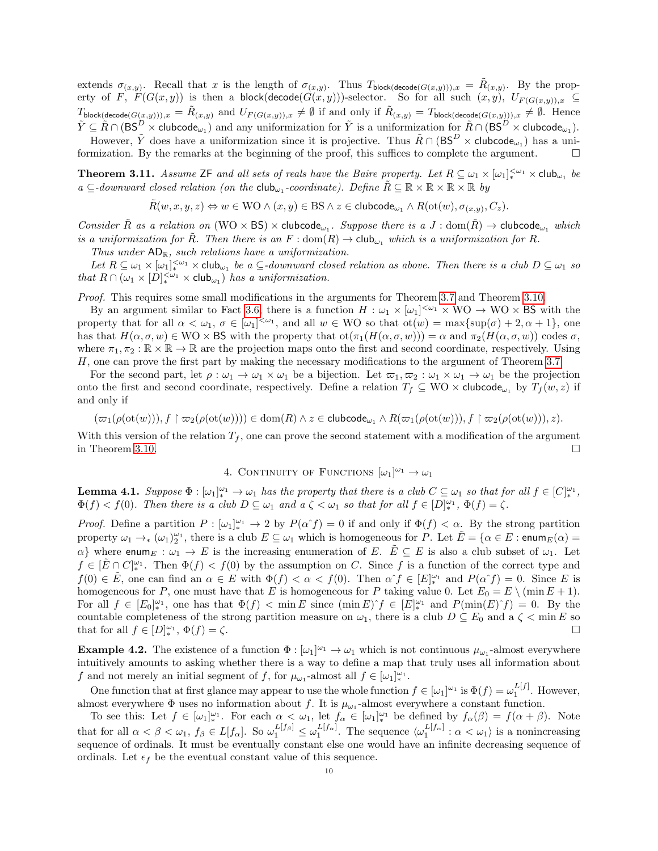extends  $\sigma_{(x,y)}$ . Recall that x is the length of  $\sigma_{(x,y)}$ . Thus  $T_{\text{block(decode}(G(x,y)))}, x = \tilde{R}_{(x,y)}$ . By the property of F,  $F(G(x,y))$  is then a block(decode $(G(x,y))$ )-selector. So for all such  $(x,y)$ ,  $U_{F(G(x,y))}, x \subseteq$  $T_{\textsf{block}(\textsf{decode}(G(x,y))), x} = \tilde{R}_{(x,y)} \text{ and } U_{F(G(x,y)), x} \neq \emptyset \text{ if and only if } \tilde{R}_{(x,y)} = T_{\textsf{block}(\textsf{decode}(G(x,y))), x} \neq \emptyset. \text{ Hence}$  $\tilde{Y} \subseteq \tilde{R} \cap (\mathsf{BS}^D \times \mathsf{clubcode}_{\omega_1})$  and any uniformization for  $\tilde{Y}$  is a uniformization for  $\tilde{R} \cap (\mathsf{BS}^D \times \mathsf{clubcode}_{\omega_1})$ . However,  $\tilde{Y}$  does have a uniformization since it is projective. Thus  $\tilde{R} \cap (\text{BS}^D \times \text{clubcode}_{\omega_1})$  has a uni-

formization. By the remarks at the beginning of the proof, this suffices to complete the argument.  $\Box$ 

<span id="page-9-2"></span>**Theorem 3.11.** Assume  $\mathsf{ZF}$  and all sets of reals have the Baire property. Let  $R \subseteq \omega_1 \times [\omega_1]_{*}^{<\omega_1} \times \mathsf{club}_{\omega_1}$  be  $a \subseteq$ -downward closed relation (on the club<sub>ω1</sub>-coordinate). Define  $\tilde{R} \subseteq \mathbb{R} \times \mathbb{R} \times \mathbb{R} \times \mathbb{R}$  by

$$
\tilde{R}(w,x,y,z) \Leftrightarrow w \in \text{WO} \land (x,y) \in \text{BS} \land z \in \text{clubcode}_{\omega_1} \land R(\text{ot}(w), \sigma_{(x,y)}, C_z).
$$

Consider  $\tilde{R}$  as a relation on  $(WO \times BS) \times$  clubcode<sub> $\omega_1$ </sub>. Suppose there is a  $J : dom(\tilde{R}) \rightarrow$  clubcode<sub> $\omega_1$ </sub> which is a uniformization for R. Then there is an  $F : dom(R) \to club_{\omega_1}$  which is a uniformization for R.

Thus under  $AD_{\mathbb{R}}$ , such relations have a uniformization.

Let  $R \subseteq \omega_1 \times [\omega_1]^{<\omega_1}_{*} \times$  club<sub> $\omega_1$ </sub> be a  $\subseteq$ -downward closed relation as above. Then there is a club  $D \subseteq \omega_1$  so that  $R \cap (\omega_1 \times [D]_{*}^{<\omega_1} \times \text{club}_{\omega_1})$  has a uniformization.

Proof. This requires some small modifications in the arguments for Theorem [3.7](#page-6-0) and Theorem [3.10.](#page-8-0)

By an argument similar to Fact [3.6,](#page-6-2) there is a function  $H : \omega_1 \times [\omega_1]^{<\omega_1} \times W_1 \to W_1 \times B_2$  with the property that for all  $\alpha < \omega_1$ ,  $\sigma \in [\omega_1]^{<\omega_1}$ , and all  $w \in WO$  so that  $ot(w) = \max\{sup(\sigma) + 2, \alpha + 1\}$ , one has that  $H(\alpha, \sigma, w) \in \text{WO} \times \text{BS}$  with the property that  $\text{ot}(\pi_1(H(\alpha, \sigma, w))) = \alpha$  and  $\pi_2(H(\alpha, \sigma, w))$  codes  $\sigma$ , where  $\pi_1, \pi_2 : \mathbb{R} \times \mathbb{R} \to \mathbb{R}$  are the projection maps onto the first and second coordinate, respectively. Using H, one can prove the first part by making the necessary modifications to the argument of Theorem [3.7.](#page-6-0)

For the second part, let  $\rho : \omega_1 \to \omega_1 \times \omega_1$  be a bijection. Let  $\varpi_1, \varpi_2 : \omega_1 \times \omega_1 \to \omega_1$  be the projection onto the first and second coordinate, respectively. Define a relation  $T_f \subseteq WO \times \mathsf{clubcode}_{\omega_1}$  by  $T_f(w, z)$  if and only if

$$
(\varpi_1(\rho({\rm ot}(w))), f\upharpoonright \varpi_2(\rho({\rm ot}(w)))) \in {\rm dom}(R) \wedge z \in {\rm clubcode}_{\omega_1} \wedge R(\varpi_1(\rho({\rm ot}(w))), f\upharpoonright \varpi_2(\rho({\rm ot}(w))), z).
$$

With this version of the relation  $T_f$ , one can prove the second statement with a modification of the argument in Theorem [3.10.](#page-8-0)  $\Box$ 

# 4. CONTINUITY OF FUNCTIONS  $[\omega_1]^{\omega_1} \to \omega_1$

<span id="page-9-1"></span>**Lemma 4.1.** Suppose  $\Phi : [\omega_1]_*^{\omega_1} \to \omega_1$  has the property that there is a club  $C \subseteq \omega_1$  so that for all  $f \in [C]_*^{\omega_1}$ ,  $\Phi(f) < f(0)$ . Then there is a club  $D \subseteq \omega_1$  and a  $\zeta < \omega_1$  so that for all  $f \in [D]_{*}^{\omega_1}$ ,  $\Phi(f) = \zeta$ .

*Proof.* Define a partition  $P: [\omega_1]_*^{\omega_1} \to 2$  by  $P(\alpha^f) = 0$  if and only if  $\Phi(f) < \alpha$ . By the strong partition property  $\omega_1 \to_{*} (\omega_1)_2^{\omega_1}$ , there is a club  $E \subseteq \omega_1$  which is homogeneous for P. Let  $\tilde{E} = {\alpha \in E : \mathsf{enum}_E(\alpha) = \alpha}$  $\alpha$ } where enum<sub>E</sub> :  $\omega_1 \to E$  is the increasing enumeration of E.  $E \subseteq E$  is also a club subset of  $\omega_1$ . Let  $f \in [\tilde{E} \cap C]^{\omega_1}_{*}$ . Then  $\Phi(f) < f(0)$  by the assumption on C. Since f is a function of the correct type and  $f(0) \in \tilde{E}$ , one can find an  $\alpha \in E$  with  $\Phi(f) < \alpha < f(0)$ . Then  $\alpha f \in [E]_{*}^{\omega_1}$  and  $P(\alpha f) = 0$ . Since E is homogeneous for P, one must have that E is homogeneous for P taking value 0. Let  $E_0 = E \setminus (\min E + 1)$ . For all  $f \in [E_0]^{\omega_1}_{*}$ , one has that  $\Phi(f) < \min E$  since  $(\min E)^f \in [E]^{w_1}_{*}$  and  $P(\min(E)^f) = 0$ . By the countable completeness of the strong partition measure on  $\omega_1$ , there is a club  $D \subseteq E_0$  and a  $\zeta$   $\lt$  min E so that for all  $f \in [D]_*^{\omega_1}$ ,  $\Phi(f) = \zeta$ .

<span id="page-9-0"></span>**Example 4.2.** The existence of a function  $\Phi : [\omega_1]^{\omega_1} \to \omega_1$  which is not continuous  $\mu_{\omega_1}$ -almost everywhere intuitively amounts to asking whether there is a way to define a map that truly uses all information about f and not merely an initial segment of f, for  $\mu_{\omega_1}$ -almost all  $f \in [\omega_1]_*^{\omega_1}$ .

One function that at first glance may appear to use the whole function  $f \in [\omega_1]^{\omega_1}$  is  $\Phi(f) = \omega_1^{L[f]}$ . However, almost everywhere  $\Phi$  uses no information about f. It is  $\mu_{\omega_1}$ -almost everywhere a constant function.

To see this: Let  $f \in [\omega_1]_{*}^{\omega_1}$ . For each  $\alpha < \omega_1$ , let  $f_\alpha \in [\omega_1]_{*}^{\omega_1}$  be defined by  $f_\alpha(\beta) = f(\alpha + \beta)$ . Note that for all  $\alpha < \beta < \omega_1$ ,  $f_\beta \in L[f_\alpha]$ . So  $\omega_1^{L[f_\beta]} \leq \omega_1^{L[f_\alpha]}$ . The sequence  $\langle \omega_1^{L[f_\alpha]} : \alpha < \omega_1 \rangle$  is a nonincreasing sequence of ordinals. It must be eventually constant else one would have an infinite decreasing sequence of ordinals. Let  $\epsilon_f$  be the eventual constant value of this sequence.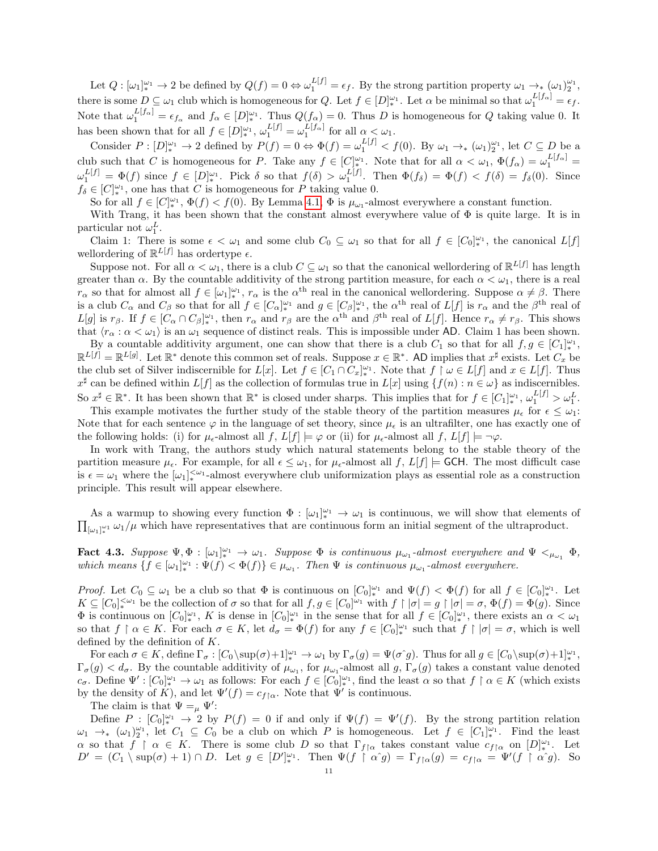Let  $Q: [\omega_1]_{*}^{\omega_1} \to 2$  be defined by  $Q(f) = 0 \Leftrightarrow \omega_1^{L[f]} = \epsilon_f$ . By the strong partition property  $\omega_1 \to_{*} (\omega_1)_{2}^{\omega_1}$ , there is some  $D \subseteq \omega_1$  club which is homogeneous for Q. Let  $f \in [D]_{*}^{\omega_1}$ . Let  $\alpha$  be minimal so that  $\omega_1^{L[f_\alpha]} = \epsilon_f$ . Note that  $\omega_1^{L[f_\alpha]} = \epsilon_{f_\alpha}$  and  $f_\alpha \in [D]_{*}^{\omega_1}$ . Thus  $Q(f_\alpha) = 0$ . Thus D is homogeneous for Q taking value 0. It has been shown that for all  $f \in [D]_{*}^{\omega_1}$ ,  $\omega_1^{L[f]} = \omega_1^{L[f_\alpha]}$  for all  $\alpha < \omega_1$ .

Consider  $P: [D]_{*}^{\omega_1} \to 2$  defined by  $P(f) = 0 \Leftrightarrow \Phi(f) = \omega_1^{L[f]} < f(0)$ . By  $\omega_1 \to_{*} (\omega_1)_{2}^{\omega_1}$ , let  $C \subseteq D$  be a club such that C is homogeneous for P. Take any  $f \in [C_{\ast}^{\omega_1}]$ . Note that for all  $\alpha < \omega_1$ ,  $\Phi(f_{\alpha}) = \omega_1^{L[f_{\alpha}]}$  $\omega_1^{L[f]} = \Phi(f)$  since  $f \in [D]_*^{\omega_1}$ . Pick  $\delta$  so that  $f(\delta) > \omega_1^{L[f]}$ . Then  $\Phi(f_\delta) = \Phi(f) < f(\delta) = f_\delta(0)$ . Since  $f_{\delta} \in [C]_*^{\omega_1}$ , one has that C is homogeneous for P taking value 0.

So for all  $f \in [C_{\ast}^{\omega_1}, \Phi(f) < f(0)$ . By Lemma [4.1,](#page-9-1)  $\Phi$  is  $\mu_{\omega_1}$ -almost everywhere a constant function.

With Trang, it has been shown that the constant almost everywhere value of  $\Phi$  is quite large. It is in particular not  $\omega_1^L$ .

Claim 1: There is some  $\epsilon < \omega_1$  and some club  $C_0 \subseteq \omega_1$  so that for all  $f \in [C_0]_{*}^{\omega_1}$ , the canonical  $L[f]$ wellordering of  $\mathbb{R}^{L[f]}$  has ordertype  $\epsilon$ .

Suppose not. For all  $\alpha < \omega_1$ , there is a club  $C \subseteq \omega_1$  so that the canonical wellordering of  $\mathbb{R}^{L[f]}$  has length greater than  $\alpha$ . By the countable additivity of the strong partition measure, for each  $\alpha < \omega_1$ , there is a real  $r_{\alpha}$  so that for almost all  $f \in [\omega_1]_{*}^{\omega_1}$ ,  $r_{\alpha}$  is the  $\alpha^{\text{th}}$  real in the canonical wellordering. Suppose  $\alpha \neq \beta$ . There is a club  $C_{\alpha}$  and  $C_{\beta}$  so that for all  $f \in [C_{\alpha}]_{*}^{\omega_{1}}$  and  $g \in [C_{\beta}]_{*}^{\omega_{1}}$ , the  $\alpha^{\text{th}}$  real of  $L[f]$  is  $r_{\alpha}$  and the  $\beta^{\text{th}}$  real of  $L[g]$  is  $r_\beta$ . If  $f \in [C_\alpha \cap C_\beta]_*^{\omega_1}$ , then  $r_\alpha$  and  $r_\beta$  are the  $\alpha^{\text{th}}$  and  $\beta^{\text{th}}$  real of  $L[f]$ . Hence  $r_\alpha \neq r_\beta$ . This shows that  $\langle r_{\alpha} : \alpha < \omega_1 \rangle$  is an  $\omega_1$  sequence of distinct reals. This is impossible under AD. Claim 1 has been shown.

By a countable additivity argument, one can show that there is a club  $C_1$  so that for all  $f, g \in [C_1]_*^{\omega_1}$ ,  $\mathbb{R}^{L[f]} = \mathbb{R}^{L[g]}$ . Let  $\mathbb{R}^*$  denote this common set of reals. Suppose  $x \in \mathbb{R}^*$ . AD implies that  $x^{\sharp}$  exists. Let  $C_x$  be the club set of Silver indiscernible for  $L[x]$ . Let  $f \in [C_1 \cap C_x]_{*}^{\omega_1}$ . Note that  $f \restriction \omega \in L[f]$  and  $x \in L[f]$ . Thus  $x^{\sharp}$  can be defined within  $L[f]$  as the collection of formulas true in  $L[x]$  using  $\{f(n): n \in \omega\}$  as indiscernibles. So  $x^{\sharp} \in \mathbb{R}^*$ . It has been shown that  $\mathbb{R}^*$  is closed under sharps. This implies that for  $f \in [C_1]_{*}^{\omega_1}$ ,  $\omega_1^{L[f]} > \omega_1^{L}$ .

This example motivates the further study of the stable theory of the partition measures  $\mu_{\epsilon}$  for  $\epsilon \leq \omega_1$ : Note that for each sentence  $\varphi$  in the language of set theory, since  $\mu_{\epsilon}$  is an ultrafilter, one has exactly one of the following holds: (i) for  $\mu_{\epsilon}$ -almost all f,  $L[f] \models \varphi$  or (ii) for  $\mu_{\epsilon}$ -almost all f,  $L[f] \models \neg \varphi$ .

In work with Trang, the authors study which natural statements belong to the stable theory of the partition measure  $\mu_{\epsilon}$ . For example, for all  $\epsilon \leq \omega_1$ , for  $\mu_{\epsilon}$ -almost all f,  $L[f] \models$  **GCH**. The most difficult case is  $\epsilon = \omega_1$  where the  $[\omega_1]^{<\omega_1}_{*}$ -almost everywhere club uniformization plays as essential role as a construction principle. This result will appear elsewhere.

As a warmup to showing every function  $\Phi : [\omega_1]_{*}^{\omega_1} \to \omega_1$  is continuous, we will show that elements of  $\prod_{\omega_1} \omega_1/\mu$  which have representatives that are continuous form an initial segment of the ultraproduct.  $[\omega_1]_{*1}^{\omega_1} \omega_1/\mu$  which have representatives that are continuous form an initial segment of the ultraproduct.

**Fact 4.3.** Suppose  $\Psi$ ,  $\Phi$  :  $[\omega_1]^{\omega_1} \to \omega_1$ . Suppose  $\Phi$  is continuous  $\mu_{\omega_1}$ -almost everywhere and  $\Psi <_{\mu_{\omega_1}} \Phi$ , which means  $\{f \in [\omega_1]_*^{\omega_1} : \Psi(f) < \Phi(f)\} \in \mu_{\omega_1}$ . Then  $\Psi$  is continuous  $\mu_{\omega_1}$ -almost everywhere.

Proof. Let  $C_0 \subseteq \omega_1$  be a club so that  $\Phi$  is continuous on  $[C_0]_{*}^{\omega_1}$  and  $\Psi(f) < \Phi(f)$  for all  $f \in [C_0]_{*}^{\omega_1}$ . Let  $K \subseteq [C_0]_{*}^{<\omega_1}$  be the collection of  $\sigma$  so that for all  $f, g \in [C_0]^{\omega_1}$  with  $f \upharpoonright |\sigma| = g \upharpoonright |\sigma| = \sigma$ ,  $\Phi(f) = \Phi(g)$ . Since  $\Phi$  is continuous on  $[C_0]_*^{\omega_1}$ , K is dense in  $[C_0]_*^{\omega_1}$  in the sense that for all  $f \in [C_0]_*^{\omega_1}$ , there exists an  $\alpha < \omega_1$ so that  $f \restriction \alpha \in K$ . For each  $\sigma \in K$ , let  $d_{\sigma} = \Phi(f)$  for any  $f \in [C_0]_{*}^{\omega_1}$  such that  $f \restriction |\sigma| = \sigma$ , which is well defined by the definition of  $K$ .

For each  $\sigma \in K$ , define  $\Gamma_{\sigma} : [C_0 \setminus \sup(\sigma) + 1]_{*}^{\omega_1} \to \omega_1$  by  $\Gamma_{\sigma}(g) = \Psi(\sigma \hat{g})$ . Thus for all  $g \in [C_0 \setminus \sup(\sigma) + 1]_{*}^{\omega_1}$ ,  $\Gamma_{\sigma}(g) < d_{\sigma}$ . By the countable additivity of  $\mu_{\omega_1}$ , for  $\mu_{\omega_1}$ -almost all g,  $\Gamma_{\sigma}(g)$  takes a constant value denoted  $c_{\sigma}$ . Define  $\Psi': [C_0]_{*}^{\omega_1} \to \omega_1$  as follows: For each  $f \in [C_0]_{*}^{\omega_1}$ , find the least  $\alpha$  so that  $f \restriction \alpha \in K$  (which exists by the density of K), and let  $\Psi'(f) = c_{f\upharpoonright\alpha}$ . Note that  $\Psi'$  is continuous.

The claim is that  $\Psi =_{\mu} \Psi'$ :

Define  $P: [C_0]_*^{\omega_1} \to 2$  by  $P(f) = 0$  if and only if  $\Psi(f) = \Psi'(f)$ . By the strong partition relation  $\omega_1 \to_{\ast} (\omega_1)^{\omega_1}_{2}$ , let  $C_1 \subseteq C_0$  be a club on which P is homogeneous. Let  $f \in [C_1]^{\omega_1}_{\ast}$ . Find the least  $\alpha$  so that  $f \restriction \alpha \in K$ . There is some club D so that  $\Gamma_{f\restriction \alpha}$  takes constant value  $c_{f\restriction \alpha}$  on  $[D]_{*}^{\omega_1}$ . Let  $D' = (C_1 \setminus \sup(\sigma) + 1) \cap D$ . Let  $g \in [D']_*^{\omega_1}$ . Then  $\Psi(f \restriction \alpha^c g) = \Gamma_{f \upharpoonright \alpha}(g) = c_{f \upharpoonright \alpha} = \Psi'(f \restriction \alpha^c g)$ . So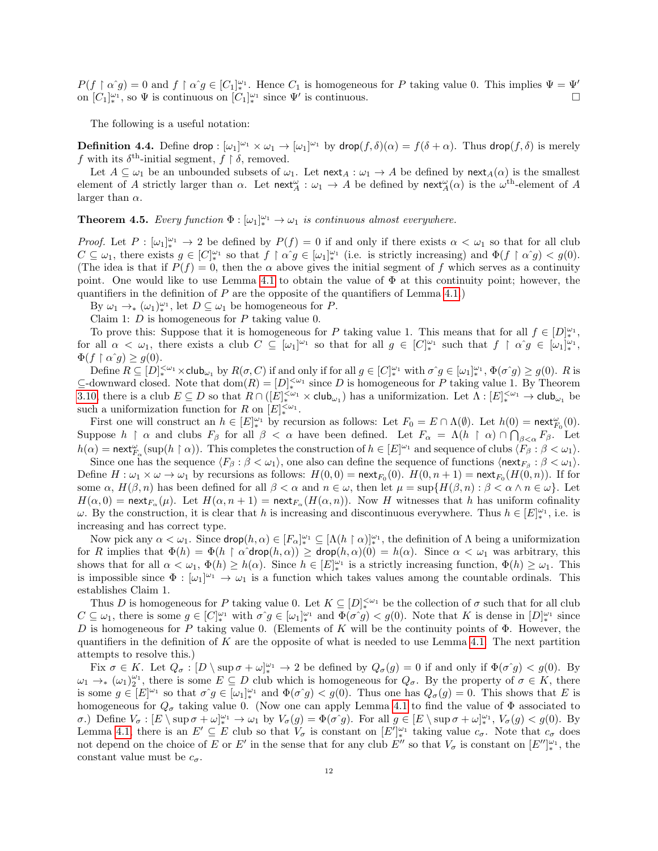$P(f \restriction \alpha \hat{g}) = 0$  and  $f \restriction \alpha \hat{g} \in [C_1]_{*}^{\omega_1}$ . Hence  $C_1$  is homogeneous for P taking value 0. This implies  $\Psi = \Psi'$ on  $[C_1]_{*}^{\omega_1}$ , so  $\Psi$  is continuous on  $[C_1]_{*}^{\omega_1}$  since  $\Psi'$  is continuous.

The following is a useful notation:

**Definition 4.4.** Define drop :  $[\omega_1]^{\omega_1} \times \omega_1 \to [\omega_1]^{\omega_1}$  by drop $(f, \delta)(\alpha) = f(\delta + \alpha)$ . Thus drop $(f, \delta)$  is merely f with its  $\delta^{\text{th}}$ -initial segment,  $f \restriction \delta$ , removed.

Let  $A \subseteq \omega_1$  be an unbounded subsets of  $\omega_1$ . Let  $\operatorname{next}_A : \omega_1 \to A$  be defined by  $\operatorname{next}_A(\alpha)$  is the smallest element of A strictly larger than  $\alpha$ . Let  $\operatorname{next}_{A}^{\omega} : \omega_1 \to A$  be defined by  $\operatorname{next}_{A}^{\omega}(\alpha)$  is the  $\omega^{\text{th}}$ -element of A larger than  $\alpha$ .

<span id="page-11-0"></span>**Theorem 4.5.** Every function  $\Phi : [\omega_1]_{*}^{\omega_1} \to \omega_1$  is continuous almost everywhere.

Proof. Let  $P: [\omega_1]_*^{\omega_1} \to 2$  be defined by  $P(f) = 0$  if and only if there exists  $\alpha < \omega_1$  so that for all club  $C \subseteq \omega_1$ , there exists  $g \in [C]_{*}^{\omega_1}$  so that  $f \restriction \alpha g \in [\omega_1]_{*}^{\omega_1}$  (i.e. is strictly increasing) and  $\Phi(f \restriction \alpha g) < g(0)$ . (The idea is that if  $P(f) = 0$ , then the  $\alpha$  above gives the initial segment of f which serves as a continuity point. One would like to use Lemma [4.1](#page-9-1) to obtain the value of  $\Phi$  at this continuity point; however, the quantifiers in the definition of  $P$  are the opposite of the quantifiers of Lemma [4.1.](#page-9-1))

By  $\omega_1 \to_{\ast} (\omega_1)^{\omega_1}_{\ast}$ , let  $D \subseteq \omega_1$  be homogeneous for P.

Claim 1:  $D$  is homogeneous for  $P$  taking value 0.

To prove this: Suppose that it is homogeneous for P taking value 1. This means that for all  $f \in [D]_*^{\omega_1}$ , for all  $\alpha < \omega_1$ , there exists a club  $C \subseteq [\omega_1]^{\omega_1}$  so that for all  $g \in [C]_*^{\omega_1}$  such that  $f \restriction \alpha g \in [\omega_1]_*^{\omega_1}$ ,  $\Phi(f \restriction \alpha \hat{\ } g) \geq g(0).$ 

Define  $R \subseteq [D]_{*}^{<\omega_1} \times \text{club}_{\omega_1}$  by  $R(\sigma, C)$  if and only if for all  $g \in [C]_{*}^{\omega_1}$  with  $\sigma \circ g \in [\omega_1]_{*}^{\omega_1}$ ,  $\Phi(\sigma \circ g) \ge g(0)$ .  $R$  is  $\subseteq$ -downward closed. Note that  $dom(R) = [D]_{*}^{<\omega_1}$  since D is homogeneous for P taking value 1. By Theorem [3.10,](#page-8-0) there is a club  $E \subseteq D$  so that  $R \cap (E)_{*}^{<\omega_1} \times \text{club}_{\omega_1}$  has a uniformization. Let  $\Lambda : [E]_{*}^{<\omega_1} \to \text{club}_{\omega_1}$  be such a uniformization function for R on  $[E]_{*}^{<\omega_1}$ .

First one will construct an  $h \in [E]_{*}^{\omega_1}$  by recursion as follows: Let  $F_0 = E \cap \Lambda(\emptyset)$ . Let  $h(0) = \text{next}_{F_0}^{\omega}(0)$ . Suppose  $h \restriction \alpha$  and clubs  $F_\beta$  for all  $\beta < \alpha$  have been defined. Let  $F_\alpha = \Lambda(h \restriction \alpha) \cap \bigcap_{\beta < \alpha} F_\beta$ . Let  $h(\alpha) = \text{next}_{F_\alpha}^{\omega}(\sup(h \restriction \alpha)).$  This completes the construction of  $h \in [E]^{\omega_1}$  and sequence of clubs  $\langle \widehat{F_\beta : \beta} \langle \omega_1 \rangle$ .

Since one has the sequence  $\langle F_\beta : \beta < \omega_1 \rangle$ , one also can define the sequence of functions  $\langle \text{next}_{F_\beta} : \beta < \omega_1 \rangle$ . Define  $H: \omega_1 \times \omega \to \omega_1$  by recursions as follows:  $H(0,0) = \text{next}_{F_0}(0)$ .  $H(0,n+1) = \text{next}_{F_0}(H(0,n))$ . If for some  $\alpha$ ,  $H(\beta, n)$  has been defined for all  $\beta < \alpha$  and  $n \in \omega$ , then let  $\mu = \sup\{H(\beta, n) : \beta < \alpha \land n \in \omega\}$ . Let  $H(\alpha,0) = \text{next}_{F_\alpha}(\mu)$ . Let  $H(\alpha,n+1) = \text{next}_{F_\alpha}(H(\alpha,n))$ . Now H witnesses that h has uniform cofinality  $\omega$ . By the construction, it is clear that h is increasing and discontinuous everywhere. Thus  $h \in [E]_*^{\omega_1}$ , i.e. is increasing and has correct type.

Now pick any  $\alpha < \omega_1$ . Since  $\mathsf{drop}(h, \alpha) \in [F_\alpha]_{*}^{\omega_1} \subseteq [\Lambda(h \restriction \alpha)]_{*}^{\omega_1}$ , the definition of  $\Lambda$  being a uniformization for R implies that  $\Phi(h) = \Phi(h \restriction \alpha \text{drop}(h, \alpha)) \ge \text{drop}(h, \alpha)(0) = h(\alpha)$ . Since  $\alpha < \omega_1$  was arbitrary, this shows that for all  $\alpha < \omega_1$ ,  $\Phi(h) \ge h(\alpha)$ . Since  $h \in [E]_{*}^{\omega_1}$  is a strictly increasing function,  $\Phi(h) \ge \omega_1$ . This is impossible since  $\Phi : [\omega_1]^{\omega_1} \to \omega_1$  is a function which takes values among the countable ordinals. This establishes Claim 1.

Thus D is homogeneous for P taking value 0. Let  $K \subseteq [D]_{*}^{<\omega_1}$  be the collection of  $\sigma$  such that for all club  $C \subseteq \omega_1$ , there is some  $g \in [C]_{*}^{\omega_1}$  with  $\sigma \hat{g} \in [\omega_1]_{*}^{\omega_1}$  and  $\Phi(\sigma \hat{g}) < g(0)$ . Note that K is dense in  $[D]_{*}^{\omega_1}$  since D is homogeneous for P taking value 0. (Elements of K will be the continuity points of  $\Phi$ . However, the quantifiers in the definition of  $K$  are the opposite of what is needed to use Lemma [4.1.](#page-9-1) The next partition attempts to resolve this.)

Fix  $\sigma \in K$ . Let  $Q_{\sigma} : [D \setminus \sup \sigma + \omega]_{*}^{\omega_{1}} \to 2$  be defined by  $Q_{\sigma}(g) = 0$  if and only if  $\Phi(\sigma g) < g(0)$ . By  $\omega_1 \to_{\ast} (\omega_1)_2^{\omega_1}$ , there is some  $E \subseteq D$  club which is homogeneous for  $Q_{\sigma}$ . By the property of  $\sigma \in K$ , there is some  $g \in [E]^{\omega_1}$  so that  $\sigma \hat{g} \in [\omega_1]_{*}^{\omega_1}$  and  $\Phi(\sigma \hat{g}) < g(0)$ . Thus one has  $Q_{\sigma}(g) = 0$ . This shows that E is homogeneous for  $Q_{\sigma}$  taking value 0. (Now one can apply Lemma [4.1](#page-9-1) to find the value of  $\Phi$  associated to  $\sigma$ .) Define  $V_{\sigma}$  : [E \ sup  $\sigma + \omega_{*}^{\omega_{1}} \to \omega_{1}$  by  $V_{\sigma}(g) = \Phi(\sigma \circ g)$ . For all  $g \in [E \setminus \sup \sigma + \omega_{*}^{\omega_{1}}, V_{\sigma}(g) < g(0)$ . By Lemma [4.1,](#page-9-1) there is an  $E' \subseteq E$  club so that  $V_{\sigma}$  is constant on  $[E']_*^{\omega_1}$  taking value  $c_{\sigma}$ . Note that  $c_{\sigma}$  does not depend on the choice of E or E' in the sense that for any club E'' so that  $V_{\sigma}$  is constant on  $[E'']_*^{\omega_1}$ , the constant value must be  $c_{\sigma}$ .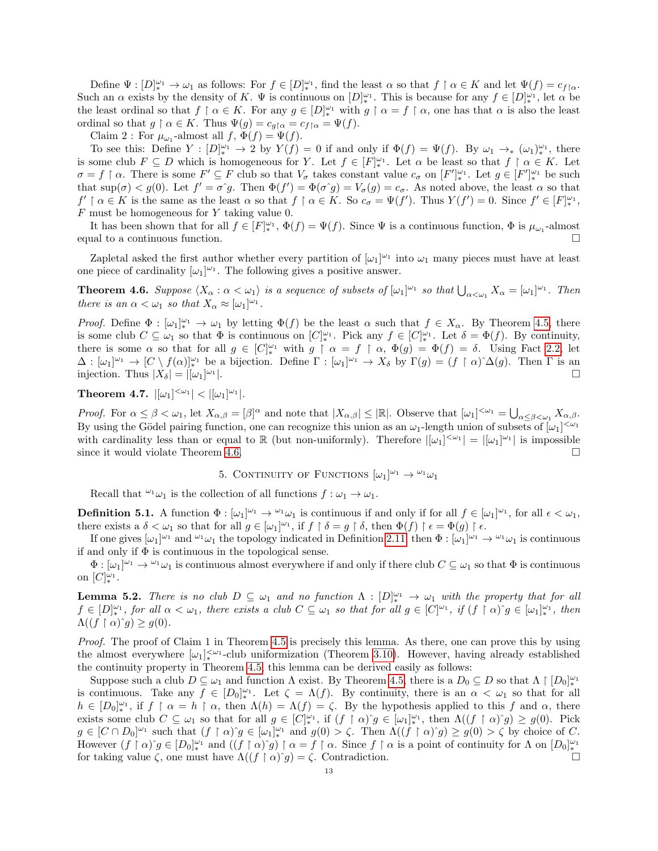Define  $\Psi: [D]_{*}^{\omega_1} \to \omega_1$  as follows: For  $f \in [D]_{*}^{\omega_1}$ , find the least  $\alpha$  so that  $f \restriction \alpha \in K$  and let  $\Psi(f) = c_{f \restriction \alpha}$ . Such an  $\alpha$  exists by the density of K.  $\Psi$  is continuous on  $[D]_{*}^{\omega_1}$ . This is because for any  $f \in [D]_{*}^{\omega_1}$ , let  $\alpha$  be the least ordinal so that  $f \restriction \alpha \in K$ . For any  $g \in [D]_{*}^{\omega_1}$  with  $g \restriction \alpha = f \restriction \alpha$ , one has that  $\alpha$  is also the least ordinal so that  $g \restriction \alpha \in K$ . Thus  $\Psi(g) = c_{g \restriction \alpha} = c_{f \restriction \alpha} = \Psi(f)$ .

Claim 2: For  $\mu_{\omega_1}$ -almost all  $f, \Phi(f) = \Psi(f)$ .

To see this: Define  $Y: [D]_{*}^{\omega_1} \to 2$  by  $Y(f) = 0$  if and only if  $\Phi(f) = \Psi(f)$ . By  $\omega_1 \to_{*} (\omega_1)_{*}^{\omega_1}$ , there is some club  $F \subseteq D$  which is homogeneous for Y. Let  $f \in [F]_{*}^{\omega_1}$ . Let  $\alpha$  be least so that  $f \restriction \alpha \in K$ . Let  $\sigma = f \restriction \alpha$ . There is some  $F' \subseteq F$  club so that  $V_{\sigma}$  takes constant value  $c_{\sigma}$  on  $[F']_{*}^{\omega_{1}}$ . Let  $g \in [F']_{*}^{\omega_{1}}$  be such that  $\sup(\sigma) < g(0)$ . Let  $f' = \sigma \hat{g}$ . Then  $\Phi(f') = \Phi(\sigma \hat{g}) = V_{\sigma}(g) = c_{\sigma}$ . As noted above, the least  $\alpha$  so that  $f' \restriction \alpha \in K$  is the same as the least  $\alpha$  so that  $f \restriction \alpha \in K$ . So  $c_{\sigma} = \Psi(f')$ . Thus  $Y(f') = 0$ . Since  $f' \in [F]_{*}^{\omega_1}$ , F must be homogeneous for Y taking value 0.

It has been shown that for all  $f \in [F]_*^{\omega_1}$ ,  $\Phi(f) = \Psi(f)$ . Since  $\Psi$  is a continuous function,  $\Phi$  is  $\mu_{\omega_1}$ -almost equal to a continuous function.

Zapletal asked the first author whether every partition of  $[\omega_1]^{\omega_1}$  into  $\omega_1$  many pieces must have at least one piece of cardinality  $[\omega_1]^{\omega_1}$ . The following gives a positive answer.

<span id="page-12-1"></span>**Theorem 4.6.** Suppose  $\langle X_\alpha : \alpha < \omega_1 \rangle$  is a sequence of subsets of  $[\omega_1]^{\omega_1}$  so that  $\bigcup_{\alpha < \omega_1} X_\alpha = [\omega_1]^{\omega_1}$ . Then there is an  $\alpha < \omega_1$  so that  $X_{\alpha} \approx [\omega_1]^{\omega_1}$ .

*Proof.* Define  $\Phi : [\omega_1]_{*}^{\omega_1} \to \omega_1$  by letting  $\Phi(f)$  be the least  $\alpha$  such that  $f \in X_\alpha$ . By Theorem [4.5,](#page-11-0) there is some club  $C \subseteq \omega_1$  so that  $\Phi$  is continuous on  $[C]_{*}^{\omega_1}$ . Pick any  $f \in [C]_{*}^{\omega_1}$ . Let  $\delta = \Phi(f)$ . By continuity, there is some  $\alpha$  so that for all  $g \in [C]_{*}^{\omega_1}$  with  $g \restriction \alpha = f \restriction \alpha$ ,  $\Phi(g) = \Phi(f) = \delta$ . Using Fact [2.2,](#page-3-1) let  $\Delta : [\omega_1]^{\omega_1} \to [C \setminus f(\alpha)]_*^{\omega_1}$  be a bijection. Define  $\Gamma : [\omega_1]^{\omega_1} \to X_{\delta}$  by  $\Gamma(g) = (f \restriction \alpha)^{\wedge} \Delta(g)$ . Then  $\Gamma$  is an injection. Thus  $|X_{\delta}| = |[\omega_1]^{\omega_1}$ |.<br>|-<br>|-

<span id="page-12-0"></span>Theorem 4.7.  $|[\omega_1]^{<\omega_1}| < |[\omega_1]^{\omega_1}|$ .

Proof. For  $\alpha \le \beta < \omega_1$ , let  $X_{\alpha,\beta} = [\beta]^\alpha$  and note that  $|X_{\alpha,\beta}| \le |\mathbb{R}|$ . Observe that  $[\omega_1]^{< \omega_1} = \bigcup_{\alpha \le \beta < \omega_1} X_{\alpha,\beta}$ . By using the Gödel pairing function, one can recognize this union as an  $\omega_1$ -length union of subsets of  $[\omega_1]^{<\omega_1}$ with cardinality less than or equal to R (but non-uniformly). Therefore  $|[\omega_1]^{<\omega_1}| = |[\omega_1]^{\omega_1}|$  is impossible since it would violate Theorem [4.6.](#page-12-1)

5. CONTINUITY OF FUNCTIONS  $[\omega_1]^{\omega_1} \rightarrow {\omega_1 \omega_1}$ 

Recall that  $\omega_1$  is the collection of all functions  $f : \omega_1 \to \omega_1$ .

**Definition 5.1.** A function  $\Phi : [\omega_1]^{\omega_1} \to {}^{\omega_1}\omega_1$  is continuous if and only if for all  $f \in [\omega_1]^{\omega_1}$ , for all  $\epsilon < \omega_1$ , there exists a  $\delta < \omega_1$  so that for all  $g \in [\omega_1]^{\omega_1}$ , if  $f \restriction \delta = g \restriction \delta$ , then  $\Phi(f) \restriction \epsilon = \Phi(g) \restriction \epsilon$ .

If one gives  $[\omega_1]^{\omega_1}$  and  $^{\omega_1}\omega_1$  the topology indicated in Definition [2.11,](#page-4-4) then  $\Phi : [\omega_1]^{\omega_1} \to {}^{\omega_1}\omega_1$  is continuous if and only if  $\Phi$  is continuous in the topological sense.

 $\Phi : [\omega_1]^{\omega_1} \to {}^{\omega_1} \omega_1$  is continuous almost everywhere if and only if there club  $C \subseteq \omega_1$  so that  $\Phi$  is continuous on  $[C]^{\omega_1}_{*}$ .

<span id="page-12-2"></span>**Lemma 5.2.** There is no club  $D \subseteq \omega_1$  and no function  $\Lambda : [D]_{*}^{\omega_1} \to \omega_1$  with the property that for all  $f \in [D]_{*}^{\omega_1}$ , for all  $\alpha < \omega_1$ , there exists a club  $C \subseteq \omega_1$  so that for all  $g \in [C]^{\omega_1}$ , if  $(f \restriction \alpha)$   $g \in [\omega_1]_{*}^{\omega_1}$ , then  $\Lambda((f\upharpoonright\alpha)^{\hat{}}g)\geq g(0).$ 

Proof. The proof of Claim 1 in Theorem [4.5](#page-11-0) is precisely this lemma. As there, one can prove this by using the almost everywhere  $[\omega_1]_*^{\langle \omega_1 \rangle}$ -club uniformization (Theorem [3.10\)](#page-8-0). However, having already established the continuity property in Theorem [4.5,](#page-11-0) this lemma can be derived easily as follows:

Suppose such a club  $D \subseteq \omega_1$  and function  $\Lambda$  exist. By Theorem [4.5,](#page-11-0) there is a  $D_0 \subseteq D$  so that  $\Lambda \restriction [D_0]_*^{\omega_1}$ is continuous. Take any  $f \in [D_0]_*^{\omega_1}$ . Let  $\zeta = \Lambda(f)$ . By continuity, there is an  $\alpha < \omega_1$  so that for all  $h \in [D_0]^{\omega_1}_{*}$ , if  $f \restriction \alpha = h \restriction \alpha$ , then  $\Lambda(h) = \Lambda(f) = \zeta$ . By the hypothesis applied to this f and  $\alpha$ , there exists some club  $C \subseteq \omega_1$  so that for all  $g \in [C]_{*}^{\omega_1}$ , if  $(f \restriction \alpha)^{\widehat{}}g \in [\omega_1]_{*}^{\omega_1}$ , then  $\Lambda((f \restriction \alpha)^{\widehat{}}g) \geq g(0)$ . Pick  $g \in [C \cap D_0]^{\omega_1}$  such that  $(f \restriction \alpha)^{\widehat{\ }} g \in [\omega_1]^{\omega_1}$  and  $g(0) > \zeta$ . Then  $\Lambda((f \restriction \alpha)^{\widehat{\ }} g) \geq g(0) > \zeta$  by choice of C. However  $(f \restriction \alpha)^{c} g \in [D_0]_{*}^{\omega_1}$  and  $((f \restriction \alpha)^{c} g) \restriction \alpha = f \restriction \alpha$ . Since  $f \restriction \alpha$  is a point of continuity for  $\Lambda$  on  $[D_0]_{*}^{\omega_1}$ for taking value  $\zeta$ , one must have  $\Lambda((f \restriction \alpha)^{\hat{}}g) = \zeta$ . Contradiction.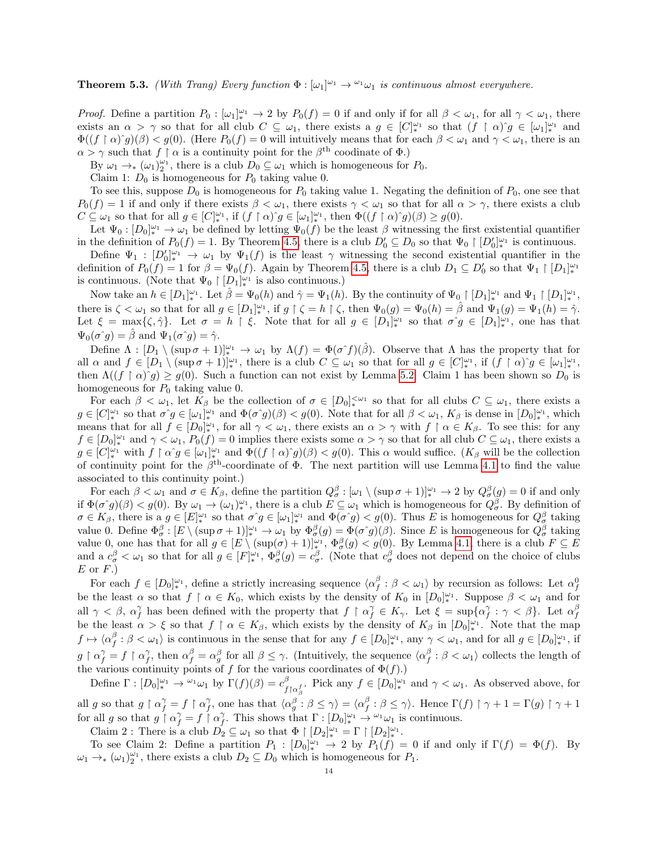<span id="page-13-0"></span>**Theorem 5.3.** (With Trang) Every function  $\Phi : [\omega_1]^{\omega_1} \to {\omega_1} \omega_1$  is continuous almost everywhere.

*Proof.* Define a partition  $P_0: [\omega_1]_{*}^{\omega_1} \to 2$  by  $P_0(f) = 0$  if and only if for all  $\beta < \omega_1$ , for all  $\gamma < \omega_1$ , there exists an  $\alpha > \gamma$  so that for all club  $C \subseteq \omega_1$ , there exists a  $g \in [C]_{*}^{\omega_1}$  so that  $(f \restriction \alpha)^{\gamma} g \in [\omega_1]_{*}^{\omega_1}$  and  $\Phi((f \restriction \alpha)^{c}g)(\beta) < g(0)$ . (Here  $P_0(f) = 0$  will intuitively means that for each  $\beta < \omega_1$  and  $\gamma < \omega_1$ , there is an  $\alpha > \gamma$  such that  $f \restriction \alpha$  is a continuity point for the  $\beta$ <sup>th</sup> coodinate of  $\Phi$ .)

By  $\omega_1 \to_{\ast} (\omega_1)^{\omega_1}_{2}$ , there is a club  $D_0 \subseteq \omega_1$  which is homogeneous for  $P_0$ .

Claim 1:  $D_0$  is homogeneous for  $P_0$  taking value 0.

To see this, suppose  $D_0$  is homogeneous for  $P_0$  taking value 1. Negating the definition of  $P_0$ , one see that  $P_0(f) = 1$  if and only if there exists  $\beta < \omega_1$ , there exists  $\gamma < \omega_1$  so that for all  $\alpha > \gamma$ , there exists a club  $C \subseteq \omega_1$  so that for all  $g \in [C]_*^{\omega_1}$ , if  $(f \restriction \alpha)^{\widehat{\ }} g \in [\omega_1]_*^{\omega_1}$ , then  $\Phi((f \restriction \alpha)^{\widehat{\ }} g)(\beta) \geq g(0)$ .

Let  $\Psi_0: [D_0]_{*}^{\omega_1} \to \omega_1$  be defined by letting  $\Psi_0(f)$  be the least  $\beta$  witnessing the first existential quantifier in the definition of  $P_0(f) = 1$ . By Theorem [4.5,](#page-11-0) there is a club  $D'_0 \subseteq D_0$  so that  $\Psi_0 \restriction [D'_0]_{*}^{\omega_1}$  is continuous.

Define  $\Psi_1: [D_0']_*^{\omega_1} \to \omega_1$  by  $\Psi_1(f)$  is the least  $\gamma$  witnessing the second existential quantifier in the definition of  $P_0(f) = 1$  for  $\beta = \Psi_0(f)$ . Again by Theorem [4.5,](#page-11-0) there is a club  $D_1 \subseteq D'_0$  so that  $\Psi_1 \restriction [D_1]_{*}^{\omega_1}$ is continuous. (Note that  $\Psi_0 \restriction [D_1]_*^{\omega_1}$  is also continuous.)

Now take an  $h \in [D_1]_*^{\omega_1}$ . Let  $\hat{\beta} = \Psi_0(h)$  and  $\hat{\gamma} = \Psi_1(h)$ . By the continuity of  $\Psi_0 \restriction [D_1]_*^{\omega_1}$  and  $\Psi_1 \restriction [D_1]_*^{\omega_1}$ , there is  $\zeta < \omega_1$  so that for all  $g \in [D_1]^{\omega_1}$ , if  $g \upharpoonright \zeta = h \upharpoonright \zeta$ , then  $\Psi_0(g) = \Psi_0(h) = \hat{\beta}$  and  $\Psi_1(g) = \Psi_1(h) = \hat{\gamma}$ . Let  $\xi = \max\{\zeta, \hat{\gamma}\}\$ . Let  $\sigma = h \restriction \xi$ . Note that for all  $g \in [D_1]_{*}^{\omega_1}$  so that  $\sigma \circ g \in [D_1]_{*}^{\omega_1}$ , one has that  $\Psi_0(\sigma \hat{\ } g) = \hat{\beta}$  and  $\Psi_1(\sigma \hat{\ } g) = \hat{\gamma}$ .

Define  $\Lambda : [D_1 \setminus (\sup \sigma + 1)]_*^{\omega_1} \to \omega_1$  by  $\Lambda(f) = \Phi(\sigma^f)(\hat{\beta})$ . Observe that  $\Lambda$  has the property that for all  $\alpha$  and  $f \in [D_1 \setminus (\sup \sigma + 1)]_*^{\omega_1}$ , there is a club  $C \subseteq \omega_1$  so that for all  $g \in [C]_*^{\omega_1}$ , if  $(f \restriction \alpha)^* g \in [\omega_1]_*^{\omega_1}$ , then  $\Lambda((f \restriction \alpha)^{c} g) \geq g(0)$ . Such a function can not exist by Lemma [5.2.](#page-12-2) Claim 1 has been shown so  $D_0$  is homogeneous for  $P_0$  taking value 0.

For each  $\beta < \omega_1$ , let  $K_\beta$  be the collection of  $\sigma \in [D_0]_*^{\leq \omega_1}$  so that for all clubs  $C \subseteq \omega_1$ , there exists a  $g \in [C]^{\omega_1}_{*}$  so that  $\sigma^{\gamma} g \in [\omega_1]^{\omega_1}_{*}$  and  $\Phi(\sigma^{\gamma} g)(\beta) < g(0)$ . Note that for all  $\beta < \omega_1$ ,  $K_{\beta}$  is dense in  $[D_0]^{\omega_1}_{*}$ , which means that for all  $f \in [D_0]_{*}^{\omega_1}$ , for all  $\gamma < \omega_1$ , there exists an  $\alpha > \gamma$  with  $f \restriction \alpha \in K_\beta$ . To see this: for any  $f \in [D_0]_{*}^{\omega_1}$  and  $\gamma < \omega_1$ ,  $P_0(f) = 0$  implies there exists some  $\alpha > \gamma$  so that for all club  $C \subseteq \omega_1$ , there exists a  $g \in [C]^{\omega_1}_{*}$  with  $f \restriction \alpha \hat{\ } g \in [\omega_1]^{\omega_1}_{*}$  and  $\Phi((f \restriction \alpha) \hat{\ } g)(\beta) < g(0)$ . This  $\alpha$  would suffice.  $(K_\beta$  will be the collection of continuity point for the  $\beta^{th}$ -coordinate of  $\Phi$ . The next partition will use Lemma [4.1](#page-9-1) to find the value associated to this continuity point.)

For each  $\beta < \omega_1$  and  $\sigma \in K_\beta$ , define the partition  $Q_\sigma^\beta : [\omega_1 \setminus (\sup \sigma + 1)]_*^{\omega_1} \to 2$  by  $Q_\sigma^\beta(g) = 0$  if and only if  $\Phi(\sigma g)(\beta) < g(0)$ . By  $\omega_1 \to (\omega_1)^{\omega_1}_{*}$ , there is a club  $E \subseteq \omega_1$  which is homogeneous for  $Q^{\beta}_{\sigma}$ . By definition of  $\sigma \in K_{\beta}$ , there is a  $g \in [E]_{*}^{\omega_1}$  so that  $\sigma^{\gamma} g \in [\omega_1]_{*}^{\omega_1}$  and  $\Phi(\sigma^{\gamma} g) < g(0)$ . Thus E is homogeneous for  $Q_{\sigma}^{\beta}$  taking value 0. Define  $\Phi_{\sigma}^{\beta}:[E \setminus (\sup \sigma +1)]_{*}^{\omega_{1}} \to \omega_{1}$  by  $\Phi_{\sigma}^{\beta}(g) = \Phi(\sigma^{c}g)(\beta)$ . Since E is homogeneous for  $Q_{\sigma}^{\beta}$  taking value 0, one has that for all  $g \in [E \setminus (\sup(\sigma) + 1)]_{*}^{\omega_1}$ ,  $\Phi_{\sigma}^{\beta}(g) < g(0)$ . By Lemma [4.1,](#page-9-1) there is a club  $F \subseteq E$ and a  $c^{\beta}_{\sigma} < \omega_1$  so that for all  $g \in [F]^{\omega_1}_{*}$ ,  $\Phi^{\beta}_{\sigma}(g) = c^{\beta}_{\sigma}$ . (Note that  $c^{\beta}_{\sigma}$  does not depend on the choice of clubs  $E$  or  $F.$ )

For each  $f \in [D_0]^{\omega_1}$ , define a strictly increasing sequence  $\langle \alpha_f^{\beta} : \beta < \omega_1 \rangle$  by recursion as follows: Let  $\alpha_f^0$ be the least  $\alpha$  so that  $f \restriction \alpha \in K_0$ , which exists by the density of  $K_0$  in  $[D_0]_{*}^{\omega_1}$ . Suppose  $\beta < \omega_1$  and for all  $\gamma < \beta$ ,  $\alpha_f^{\gamma}$  has been defined with the property that  $f \restriction \alpha_f^{\gamma} \in K_{\gamma}$ . Let  $\xi = \sup\{\alpha_f^{\gamma} : \gamma < \beta\}$ . Let  $\alpha_f^{\beta}$ be the least  $\alpha > \xi$  so that  $f \restriction \alpha \in K_\beta$ , which exists by the density of  $K_\beta$  in  $[D_0]_{*}^{\omega_1}$ . Note that the map  $f \mapsto \langle \alpha_f^{\beta} : \beta < \omega_1 \rangle$  is continuous in the sense that for any  $f \in [D_0]^{\omega_1}_{*}$ , any  $\gamma < \omega_1$ , and for all  $g \in [D_0]^{\omega_1}_{*}$ , if  $g \restriction \alpha_f^{\gamma} = f \restriction \alpha_f^{\gamma}$ , then  $\alpha_f^{\beta} = \alpha_g^{\beta}$  for all  $\beta \leq \gamma$ . (Intuitively, the sequence  $\langle \alpha_f^{\beta} : \beta < \omega_1 \rangle$  collects the length of the various continuity points of  $f$  for the various coordinates of  $\Phi(f)$ .)

Define  $\Gamma : [D_0]_*^{\omega_1} \to {}^{\omega_1} \omega_1$  by  $\Gamma(f)(\beta) = c_f^{\beta}$  ${}^{\beta}_{f\upharpoonright \alpha_{\beta}^{f}}$ . Pick any  $f \in [D_0]^{\omega_1}$  and  $\gamma < \omega_1$ . As observed above, for all g so that  $g \restriction \alpha_f^{\gamma} = f \restriction \alpha_f^{\gamma}$ , one has that  $\langle \alpha_g^{\beta} : \beta \leq \gamma \rangle = \langle \alpha_f^{\beta} : \beta \leq \gamma \rangle$ . Hence  $\Gamma(f) \restriction \gamma + 1 = \Gamma(g) \restriction \gamma + 1$ for all g so that  $g \restriction \alpha_f^{\gamma} = f \restriction \alpha_f^{\gamma}$ . This shows that  $\Gamma : [D_0]_{*}^{\omega_1} \to {}^{\omega_1} \omega_1$  is continuous.

Claim 2: There is a club  $D_2 \subseteq \omega_1$  so that  $\Phi \restriction [D_2]_*^{\omega_1} = \Gamma \restriction [D_2]_*^{\omega_1}$ .

To see Claim 2: Define a partition  $P_1: [D_0]_{*}^{\omega_1} \to 2$  by  $P_1(f) = 0$  if and only if  $\Gamma(f) = \Phi(f)$ . By  $\omega_1 \to_{\ast} (\omega_1)_2^{\omega_1}$ , there exists a club  $D_2 \subseteq D_0$  which is homogeneous for  $P_1$ .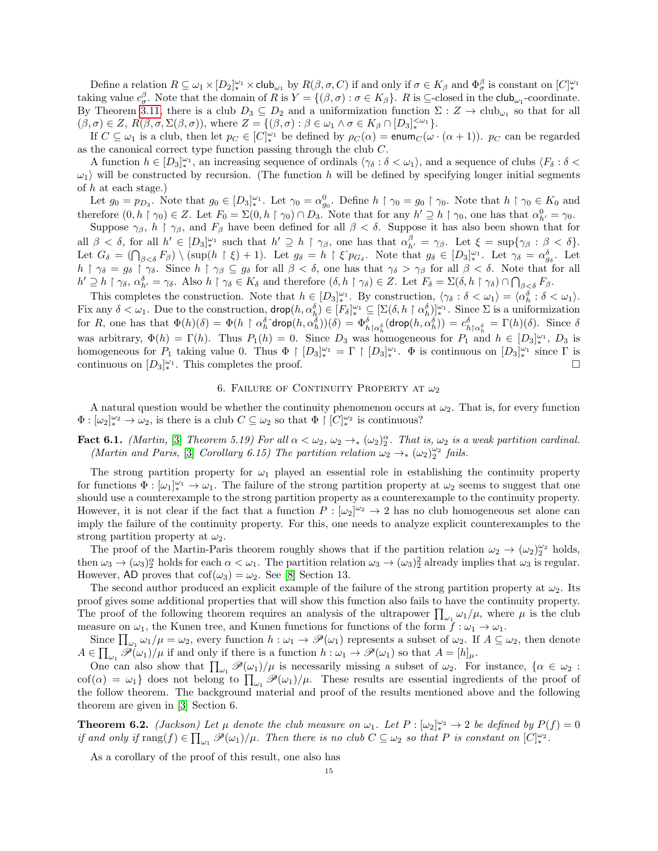Define a relation  $R \subseteq \omega_1 \times [D_2]^{\omega_1} \times \mathsf{club}_{\omega_1}$  by  $R(\beta, \sigma, C)$  if and only if  $\sigma \in K_\beta$  and  $\Phi_\sigma^\beta$  is constant on  $[C]^{\omega_1}_*$ taking value  $c_{\sigma}^{\beta}$ . Note that the domain of R is  $Y = \{(\beta, \sigma) : \sigma \in K_{\beta}\}\$ . R is  $\subseteq$ -closed in the club<sub>ω1</sub>-coordinate. By Theorem [3.11,](#page-9-2) there is a club  $D_3 \subseteq D_2$  and a uniformization function  $\Sigma : Z \to \text{club}_{\omega_1}$  so that for all  $(\beta, \sigma) \in Z$ ,  $R(\beta, \sigma, \Sigma(\beta, \sigma))$ , where  $Z = \{(\beta, \sigma) : \beta \in \omega_1 \land \sigma \in K_\beta \cap [D_3]_{*}^{<\omega_1}\}.$ 

If  $C \subseteq \omega_1$  is a club, then let  $p_C \in [C]_*^{\omega_1}$  be defined by  $\rho_C(\alpha) = \text{enum}_C(\omega \cdot (\alpha + 1))$ .  $p_C$  can be regarded as the canonical correct type function passing through the club C.

A function  $h \in [D_3]_*^{\omega_1}$ , an increasing sequence of ordinals  $\langle \gamma_\delta : \delta < \omega_1 \rangle$ , and a sequence of clubs  $\langle F_\delta : \delta < \omega_1 \rangle$  $\omega_1$  will be constructed by recursion. (The function h will be defined by specifying longer initial segments of  $h$  at each stage.)

Let  $g_0 = p_{D_3}$ . Note that  $g_0 \in [D_3]_{*}^{\omega_1}$ . Let  $\gamma_0 = \alpha_{g_0}^0$ . Define  $h \restriction \gamma_0 = g_0 \restriction \gamma_0$ . Note that  $h \restriction \gamma_0 \in K_0$  and therefore  $(0, h \restriction \gamma_0) \in Z$ . Let  $F_0 = \Sigma(0, h \restriction \gamma_0) \cap D_3$ . Note that for any  $h' \supseteq h \restriction \gamma_0$ , one has that  $\alpha_{h'}^0 = \gamma_0$ .

Suppose  $\gamma_{\beta}$ ,  $h \restriction \gamma_{\beta}$ , and  $F_{\beta}$  have been defined for all  $\beta < \delta$ . Suppose it has also been shown that for all  $\beta < \delta$ , for all  $h' \in [D_3]_{*}^{\omega_1}$  such that  $h' \supseteq h \restriction \gamma_\beta$ , one has that  $\alpha_{h'}^\beta = \gamma_\beta$ . Let  $\xi = \sup{\gamma_\beta : \beta < \delta}$ . Let  $G_{\delta} = (\bigcap_{\beta < \delta} F_{\beta}) \setminus (\sup(h \upharpoonright \xi) + 1)$ . Let  $g_{\delta} = h \upharpoonright \xi \hat{p}_{G_{\delta}}$ . Note that  $g_{\delta} \in [D_3]_{*}^{\omega_1}$ . Let  $\gamma_{\delta} = \alpha_{g_{\delta}}^{\delta}$ . Let  $h \restriction \gamma_{\delta} = g_{\delta} \restriction \gamma_{\delta}$ . Since  $h \restriction \gamma_{\beta} \subseteq g_{\delta}$  for all  $\beta < \delta$ , one has that  $\gamma_{\delta} > \gamma_{\beta}$  for all  $\beta < \delta$ . Note that for all  $h' \supseteq h \restriction \gamma_{\delta}, \, \alpha_{h'}^{\delta} = \gamma_{\delta}.$  Also  $h \restriction \gamma_{\delta} \in K_{\delta}$  and therefore  $(\delta, h \restriction \gamma_{\delta}) \in Z$ . Let  $F_{\delta} = \Sigma(\delta, h \restriction \gamma_{\delta}) \cap \bigcap_{\beta < \delta} F_{\beta}.$ 

This completes the construction. Note that  $h \in [D_3]_*^{\omega_1}$ . By construction,  $\langle \gamma_\delta : \delta < \omega_1 \rangle = \langle \alpha_h^{\delta} : \delta < \omega_1 \rangle$ . Fix any  $\delta < \omega_1$ . Due to the construction,  $\text{drop}(h, \alpha_h^{\delta}) \in [F_{\delta}]_{*}^{\omega_1} \subseteq [\Sigma(\delta, h \restriction \alpha_h^{\delta})]_{*}^{\omega_1}$ . Since  $\Sigma$  is a uniformization for R, one has that  $\Phi(h)(\delta) = \Phi(h \restriction \alpha_h^{\delta} \text{drop}(h, \alpha_h^{\delta}))(\delta) = \Phi_{h \restriction \alpha_h^{\delta}}^{\delta}(\text{drop}(h, \alpha_h^{\delta})) = c_{h \restriction \alpha_h^{\delta}}^{\delta} = \Gamma(h)(\delta)$ . Since  $\delta$ was arbitrary,  $\Phi(h) = \Gamma(h)$ . Thus  $P_1(h) = 0$ . Since  $D_3$  was homogeneous for  $P_1$  and  $h \in [D_3]_{*}^{\omega_1}$ ,  $D_3$  is homogeneous for  $P_1$  taking value 0. Thus  $\Phi \restriction [D_3]_{*}^{\omega_1} = \Gamma \restriction [D_3]_{*}^{\omega_1}$ .  $\Phi$  is continuous on  $[D_3]_{*}^{\omega_1}$  since  $\Gamma$  is continuous on  $[D_3]_*^{\omega_1}$ . This completes the proof.

### 6. FAILURE OF CONTINUITY PROPERTY AT  $\omega_2$

<span id="page-14-0"></span>A natural question would be whether the continuity phenomenon occurs at  $\omega_2$ . That is, for every function  $\Phi: [\omega_2]_*^{\omega_2} \to \omega_2$ , is there is a club  $C \subseteq \omega_2$  so that  $\Phi \restriction [C]_*^{\omega_2}$  is continuous?

## **Fact 6.1.** (Martin, [\[3\]](#page-15-0) Theorem 5.19) For all  $\alpha < \omega_2$ ,  $\omega_2 \rightarrow_{\ast} (\omega_2)_2^{\alpha}$ . That is,  $\omega_2$  is a weak partition cardinal. (Martin and Paris, [\[3\]](#page-15-0) Corollary 6.15) The partition relation  $\omega_2 \rightarrow_{\ast} (\omega_2)_2^{\omega_2}$  fails.

The strong partition property for  $\omega_1$  played an essential role in establishing the continuity property for functions  $\Phi : [\omega_1]_*^{\omega_1} \to \omega_1$ . The failure of the strong partition property at  $\omega_2$  seems to suggest that one should use a counterexample to the strong partition property as a counterexample to the continuity property. However, it is not clear if the fact that a function  $P : [\omega_2]^{\omega_2} \to 2$  has no club homogeneous set alone can imply the failure of the continuity property. For this, one needs to analyze explicit counterexamples to the strong partition property at  $\omega_2$ .

The proof of the Martin-Paris theorem roughly shows that if the partition relation  $\omega_2 \to (\omega_2)_2^{\omega_2}$  holds, then  $\omega_3 \to (\omega_3)_2^{\alpha}$  holds for each  $\alpha < \omega_1$ . The partition relation  $\omega_3 \to (\omega_3)_2^2$  already implies that  $\omega_3$  is regular. However, AD proves that  $\text{cof}(\omega_3) = \omega_2$ . See [\[8\]](#page-15-10) Section 13.

The second author produced an explicit example of the failure of the strong partition property at  $\omega_2$ . Its proof gives some additional properties that will show this function also fails to have the continuity property. The proof of the following theorem requires an analysis of the ultrapower  $\prod_{\omega_1} \omega_1/\mu$ , where  $\mu$  is the club measure on  $\omega_1$ , the Kunen tree, and Kunen functions for functions of the form  $f : \omega_1 \to \omega_1$ .

Since  $\prod_{\omega_1} \omega_1/\mu = \omega_2$ , every function  $h : \omega_1 \to \mathscr{P}(\omega_1)$  represents a subset of  $\omega_2$ . If  $A \subseteq \omega_2$ , then denote  $A \in \prod_{\omega_1} \mathscr{P}(\omega_1)/\mu$  if and only if there is a function  $h : \omega_1 \to \mathscr{P}(\omega_1)$  so that  $A = [h]_\mu$ .

One can also show that  $\prod_{\omega_1} \mathcal{P}(\omega_1)/\mu$  is necessarily missing a subset of  $\omega_2$ . For instance,  $\{\alpha \in \omega_2 :$ cof( $\alpha$ ) =  $\omega_1$ } does not belong to  $\prod_{\omega_1} \mathcal{P}(\omega_1)/\mu$ . These results are essential ingredients of the proof of the follow theorem. The background material and proof of the results mentioned above and the following theorem are given in [\[3\]](#page-15-0) Section 6.

<span id="page-14-1"></span>**Theorem 6.2.** (Jackson) Let  $\mu$  denote the club measure on  $\omega_1$ . Let  $P : [\omega_2]_*^{\omega_2} \to 2$  be defined by  $P(f) = 0$ if and only if  $\text{rang}(f) \in \prod_{\omega_1} \mathscr{P}(\omega_1) / \mu$ . Then there is no club  $C \subseteq \omega_2$  so that P is constant on  $[C]_{*}^{\omega_2}$ .

As a corollary of the proof of this result, one also has